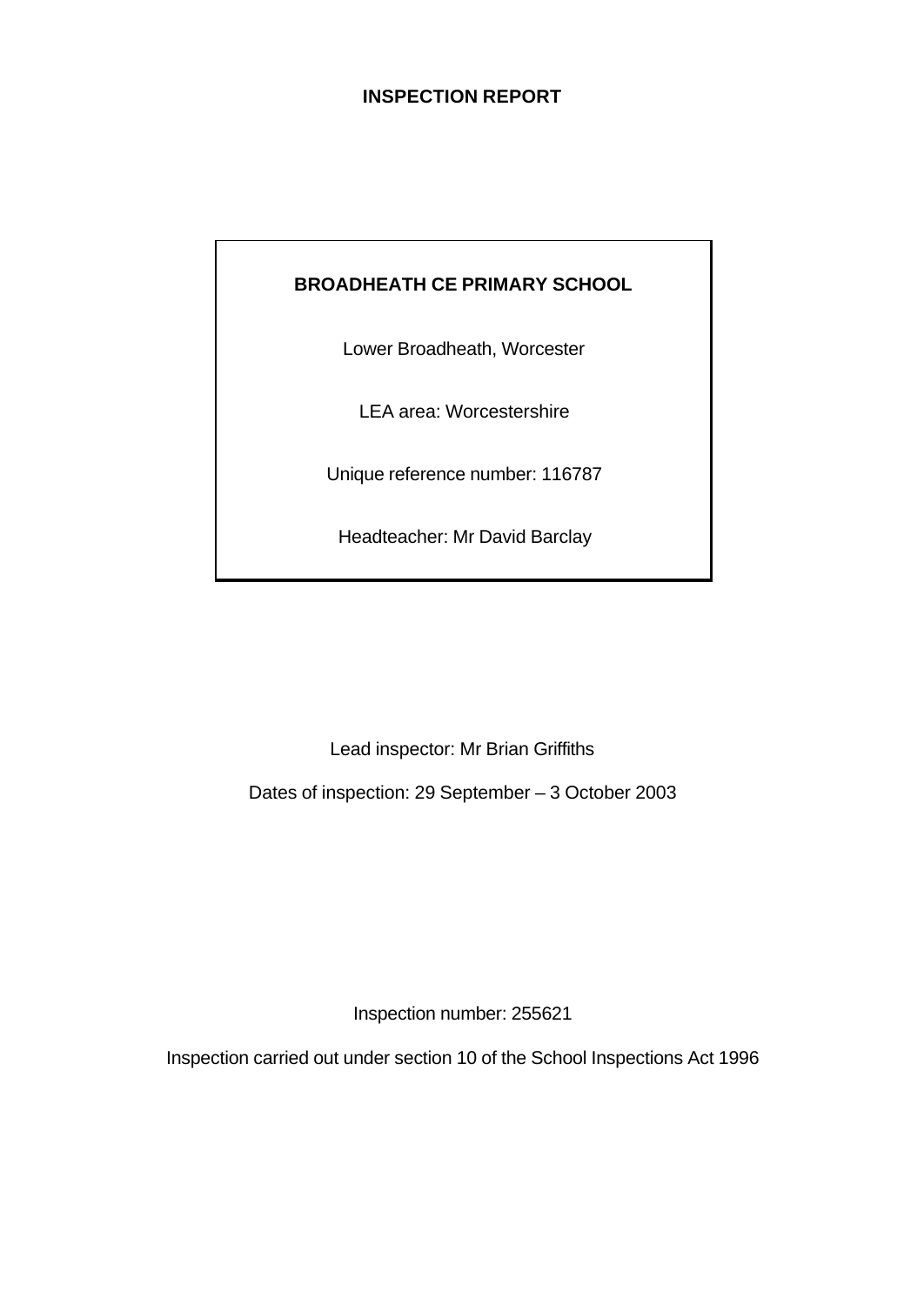# **INSPECTION REPORT**

# **BROADHEATH CE PRIMARY SCHOOL**

Lower Broadheath, Worcester

LEA area: Worcestershire

Unique reference number: 116787

Headteacher: Mr David Barclay

Lead inspector: Mr Brian Griffiths

Dates of inspection: 29 September – 3 October 2003

Inspection number: 255621

Inspection carried out under section 10 of the School Inspections Act 1996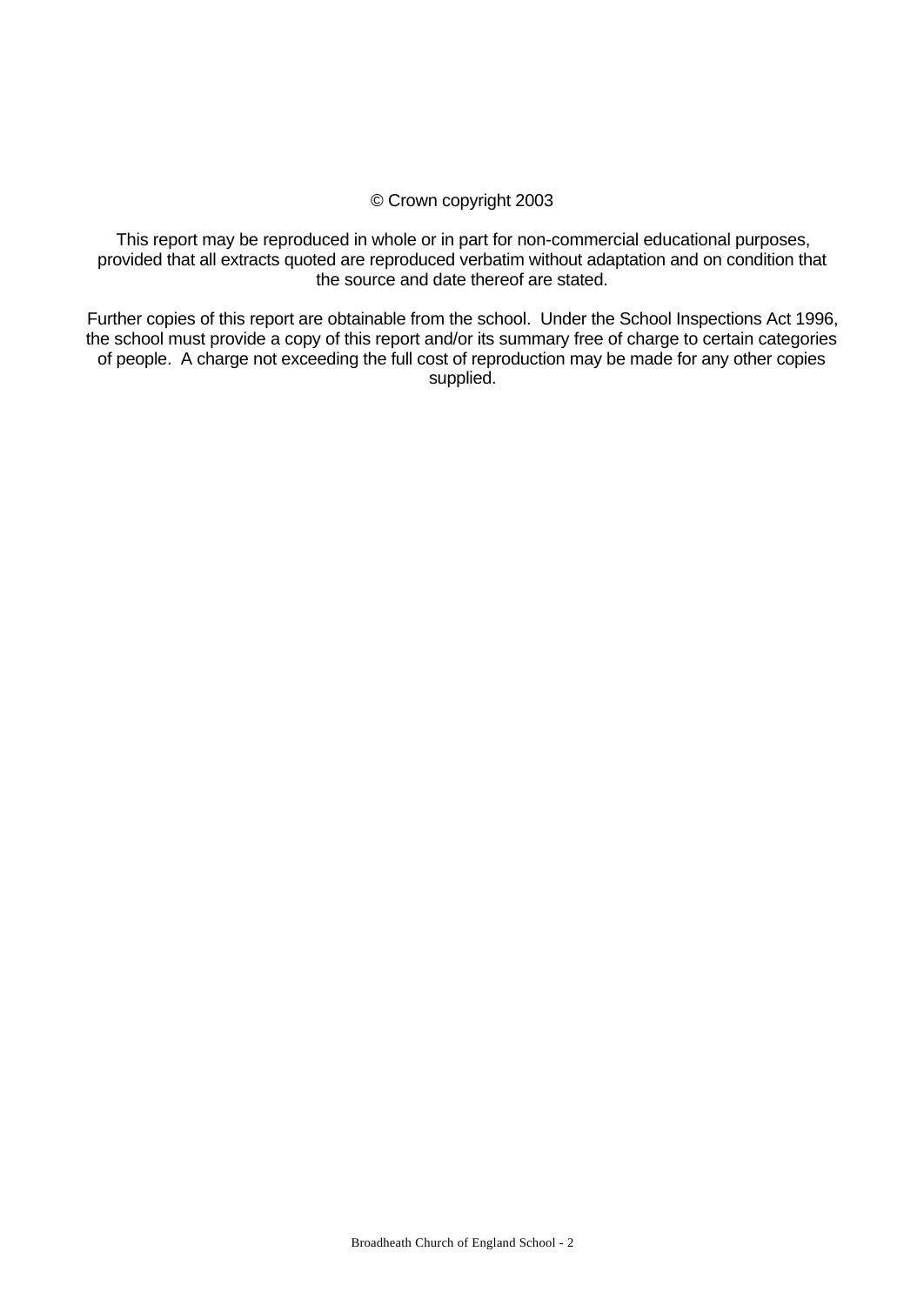#### © Crown copyright 2003

This report may be reproduced in whole or in part for non-commercial educational purposes, provided that all extracts quoted are reproduced verbatim without adaptation and on condition that the source and date thereof are stated.

Further copies of this report are obtainable from the school. Under the School Inspections Act 1996, the school must provide a copy of this report and/or its summary free of charge to certain categories of people. A charge not exceeding the full cost of reproduction may be made for any other copies supplied.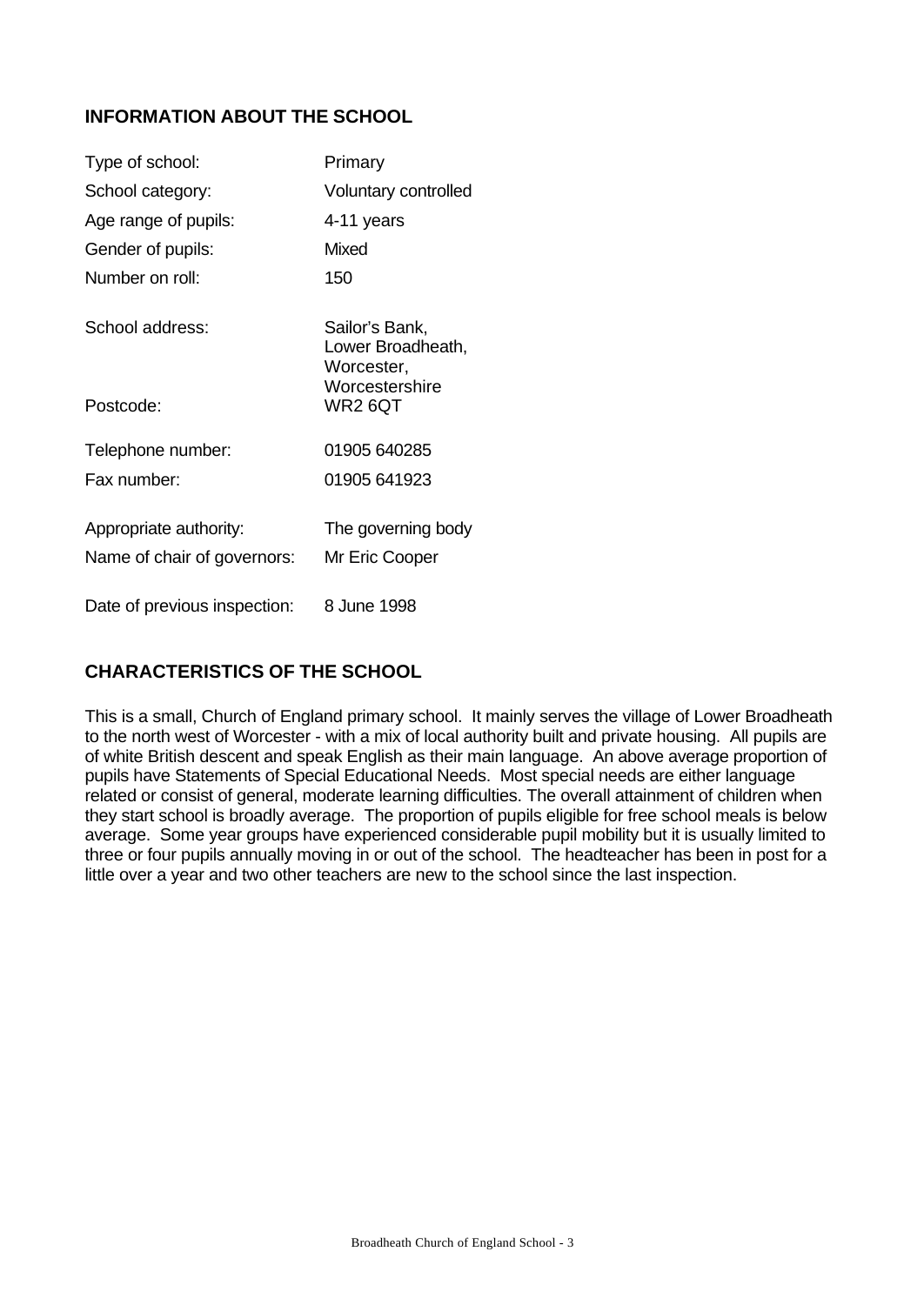# **INFORMATION ABOUT THE SCHOOL**

| Type of school:                                       | Primary                                                             |
|-------------------------------------------------------|---------------------------------------------------------------------|
| School category:                                      | Voluntary controlled                                                |
| Age range of pupils:                                  | 4-11 years                                                          |
| Gender of pupils:                                     | <b>Mixed</b>                                                        |
| Number on roll:                                       | 150                                                                 |
| School address:                                       | Sailor's Bank,<br>Lower Broadheath,<br>Worcester,<br>Worcestershire |
| Postcode:                                             | WR2 6QT                                                             |
| Telephone number:                                     | 01905 640285                                                        |
| Fax number:                                           | 01905 641923                                                        |
| Appropriate authority:<br>Name of chair of governors: | The governing body<br>Mr Eric Cooper                                |
|                                                       |                                                                     |
| Date of previous inspection:                          | 8 June 1998                                                         |

# **CHARACTERISTICS OF THE SCHOOL**

This is a small, Church of England primary school. It mainly serves the village of Lower Broadheath to the north west of Worcester - with a mix of local authority built and private housing. All pupils are of white British descent and speak English as their main language. An above average proportion of pupils have Statements of Special Educational Needs. Most special needs are either language related or consist of general, moderate learning difficulties. The overall attainment of children when they start school is broadly average. The proportion of pupils eligible for free school meals is below average. Some year groups have experienced considerable pupil mobility but it is usually limited to three or four pupils annually moving in or out of the school. The headteacher has been in post for a little over a year and two other teachers are new to the school since the last inspection.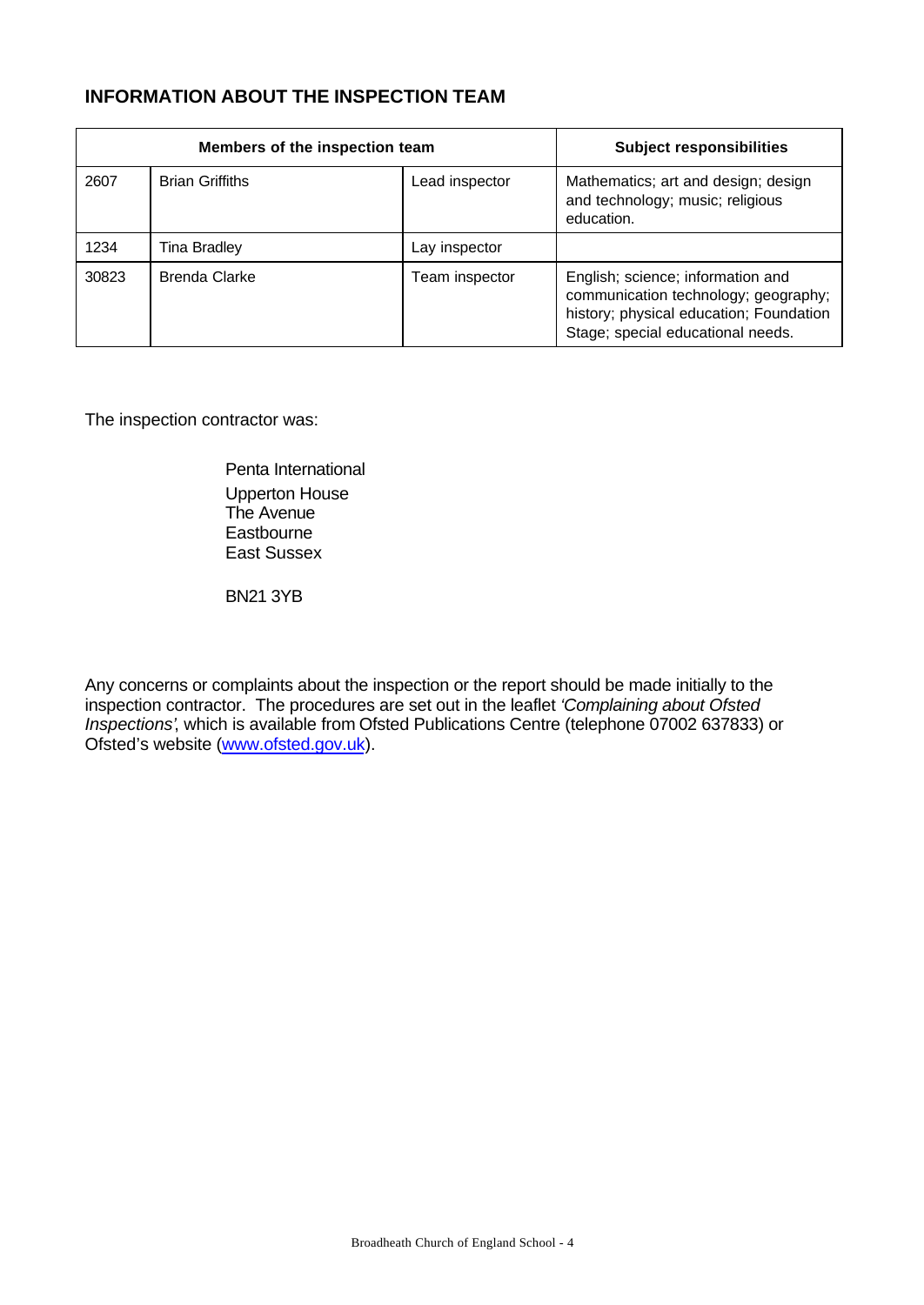# **INFORMATION ABOUT THE INSPECTION TEAM**

|       | Members of the inspection team |                | <b>Subject responsibilities</b>                                                                                                                           |
|-------|--------------------------------|----------------|-----------------------------------------------------------------------------------------------------------------------------------------------------------|
| 2607  | <b>Brian Griffiths</b>         | Lead inspector | Mathematics; art and design; design<br>and technology; music; religious<br>education.                                                                     |
| 1234  | Tina Bradley                   | Lay inspector  |                                                                                                                                                           |
| 30823 | <b>Brenda Clarke</b>           | Team inspector | English; science; information and<br>communication technology; geography;<br>history; physical education; Foundation<br>Stage; special educational needs. |

The inspection contractor was:

Penta International Upperton House The Avenue **Eastbourne** East Sussex

BN21 3YB

Any concerns or complaints about the inspection or the report should be made initially to the inspection contractor. The procedures are set out in the leaflet *'Complaining about Ofsted Inspections'*, which is available from Ofsted Publications Centre (telephone 07002 637833) or Ofsted's website (www.ofsted.gov.uk).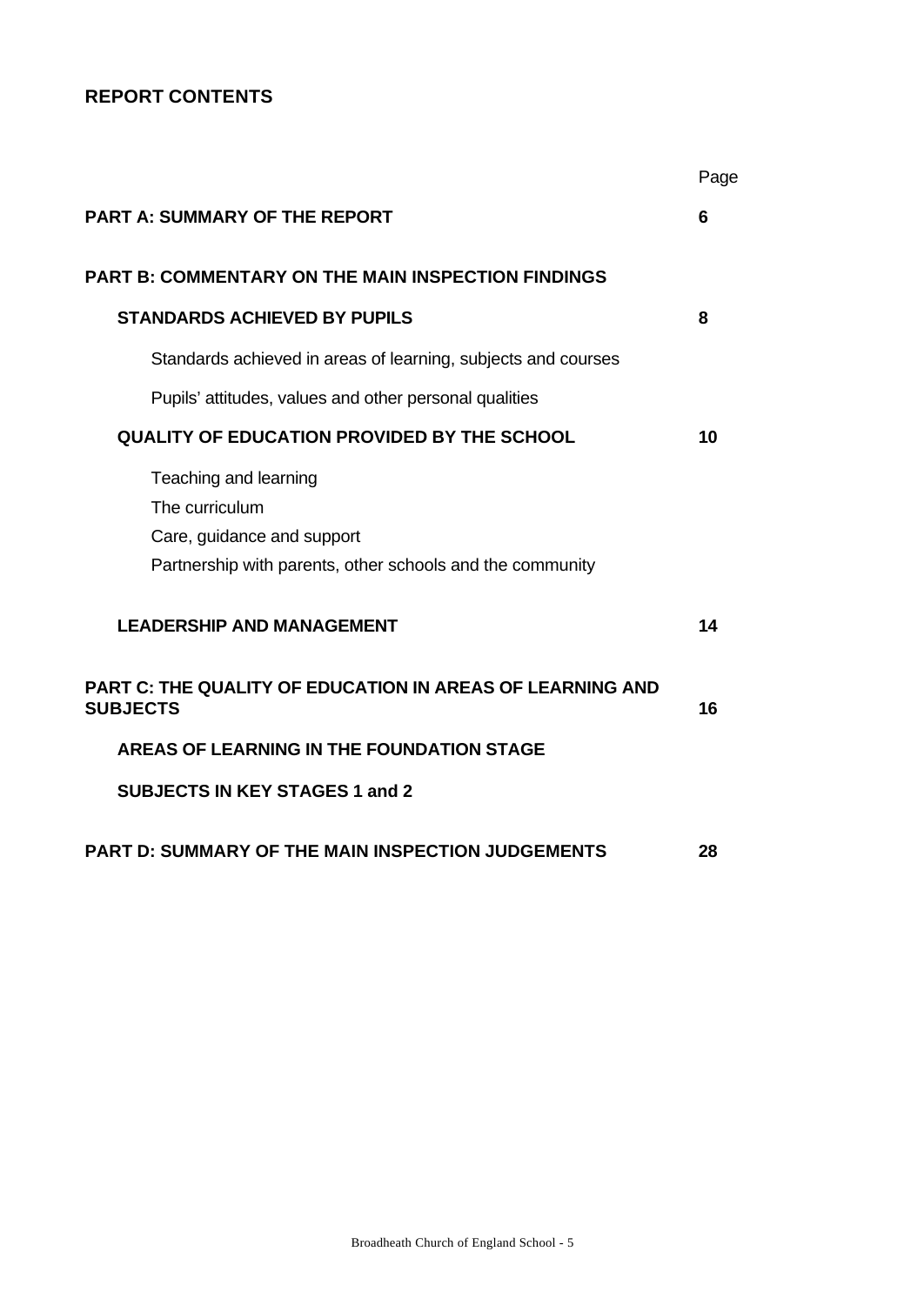# **REPORT CONTENTS**

|                                                                                                                                    | Page |
|------------------------------------------------------------------------------------------------------------------------------------|------|
| <b>PART A: SUMMARY OF THE REPORT</b>                                                                                               | 6    |
| <b>PART B: COMMENTARY ON THE MAIN INSPECTION FINDINGS</b>                                                                          |      |
| <b>STANDARDS ACHIEVED BY PUPILS</b>                                                                                                | 8    |
| Standards achieved in areas of learning, subjects and courses                                                                      |      |
| Pupils' attitudes, values and other personal qualities                                                                             |      |
| <b>QUALITY OF EDUCATION PROVIDED BY THE SCHOOL</b>                                                                                 | 10   |
| Teaching and learning<br>The curriculum<br>Care, guidance and support<br>Partnership with parents, other schools and the community |      |
| <b>LEADERSHIP AND MANAGEMENT</b>                                                                                                   | 14   |
| <b>PART C: THE QUALITY OF EDUCATION IN AREAS OF LEARNING AND</b><br><b>SUBJECTS</b>                                                | 16   |
| AREAS OF LEARNING IN THE FOUNDATION STAGE                                                                                          |      |
| <b>SUBJECTS IN KEY STAGES 1 and 2</b>                                                                                              |      |
| <b>PART D: SUMMARY OF THE MAIN INSPECTION JUDGEMENTS</b>                                                                           | 28   |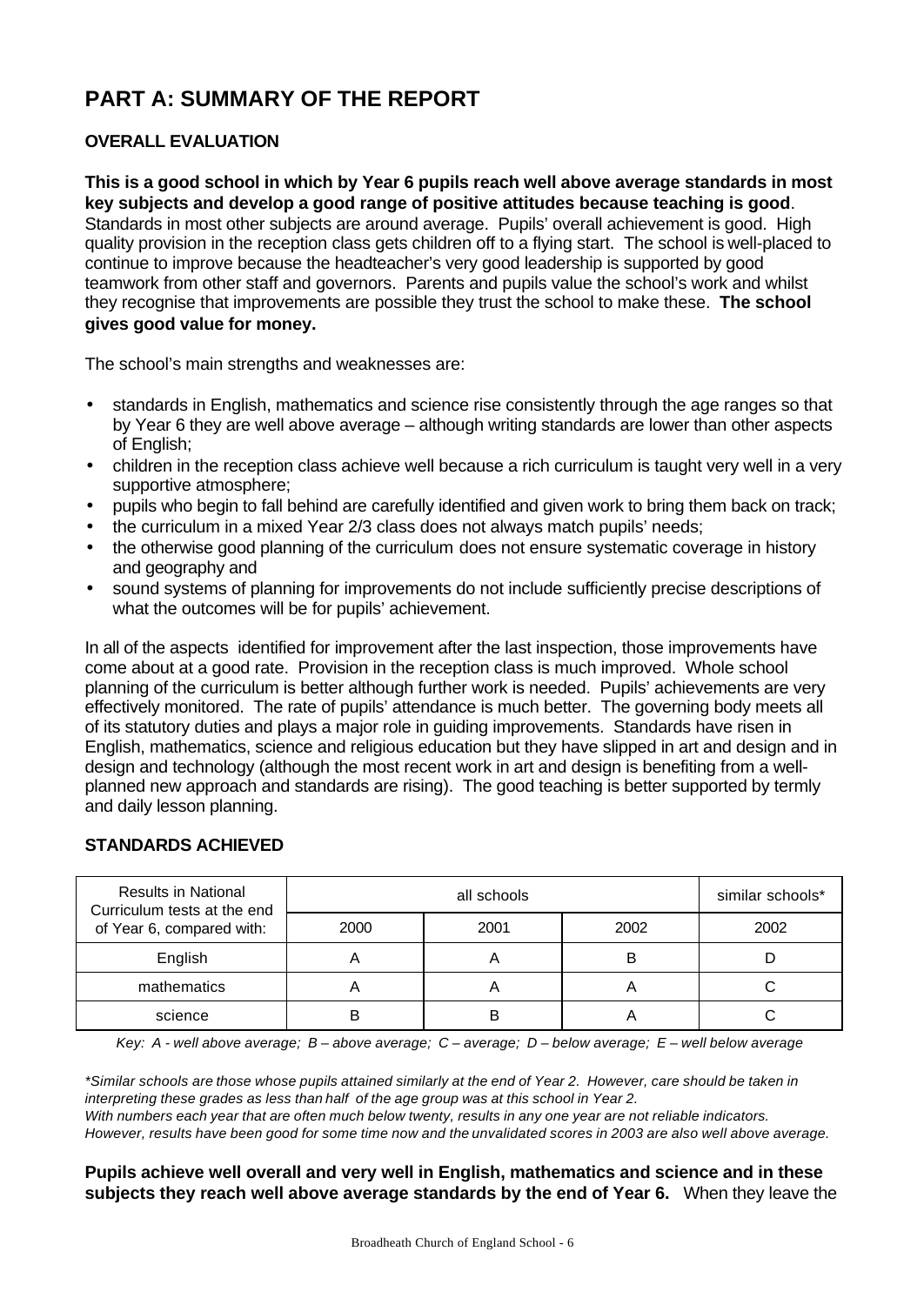# **PART A: SUMMARY OF THE REPORT**

# **OVERALL EVALUATION**

**This is a good school in which by Year 6 pupils reach well above average standards in most key subjects and develop a good range of positive attitudes because teaching is good**. Standards in most other subjects are around average. Pupils' overall achievement is good. High quality provision in the reception class gets children off to a flying start. The school is well-placed to continue to improve because the headteacher's very good leadership is supported by good teamwork from other staff and governors. Parents and pupils value the school's work and whilst they recognise that improvements are possible they trust the school to make these. **The school gives good value for money.**

The school's main strengths and weaknesses are:

- standards in English, mathematics and science rise consistently through the age ranges so that by Year 6 they are well above average – although writing standards are lower than other aspects of English;
- children in the reception class achieve well because a rich curriculum is taught very well in a very supportive atmosphere;
- pupils who begin to fall behind are carefully identified and given work to bring them back on track;
- the curriculum in a mixed Year 2/3 class does not always match pupils' needs;
- the otherwise good planning of the curriculum does not ensure systematic coverage in history and geography and
- sound systems of planning for improvements do not include sufficiently precise descriptions of what the outcomes will be for pupils' achievement.

In all of the aspects identified for improvement after the last inspection, those improvements have come about at a good rate. Provision in the reception class is much improved. Whole school planning of the curriculum is better although further work is needed. Pupils' achievements are very effectively monitored. The rate of pupils' attendance is much better. The governing body meets all of its statutory duties and plays a major role in guiding improvements. Standards have risen in English, mathematics, science and religious education but they have slipped in art and design and in design and technology (although the most recent work in art and design is benefiting from a wellplanned new approach and standards are rising). The good teaching is better supported by termly and daily lesson planning.

#### **STANDARDS ACHIEVED**

| <b>Results in National</b><br>Curriculum tests at the end |      | similar schools* |      |      |
|-----------------------------------------------------------|------|------------------|------|------|
| of Year 6, compared with:                                 | 2000 | 2001             | 2002 | 2002 |
| English                                                   |      |                  | B    |      |
| mathematics                                               |      |                  |      |      |
| science                                                   |      |                  |      |      |

*Key: A - well above average; B – above average; C – average; D – below average; E – well below average*

*\*Similar schools are those whose pupils attained similarly at the end of Year 2. However, care should be taken in interpreting these grades as less than half of the age group was at this school in Year 2. With numbers each year that are often much below twenty, results in any one year are not reliable indicators. However, results have been good for some time now and the unvalidated scores in 2003 are also well above average.*

#### **Pupils achieve well overall and very well in English, mathematics and science and in these subjects they reach well above average standards by the end of Year 6.** When they leave the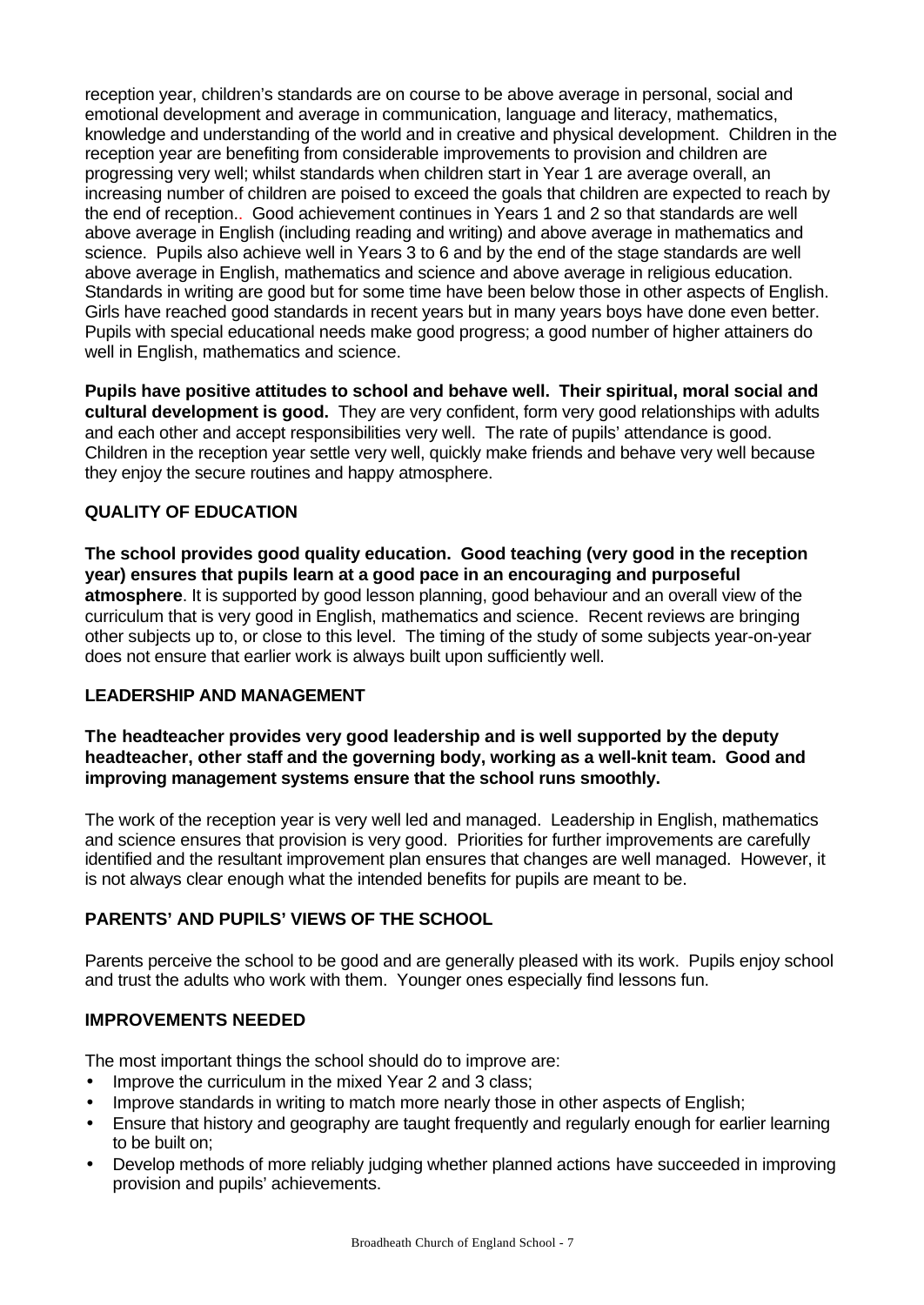reception year, children's standards are on course to be above average in personal, social and emotional development and average in communication, language and literacy, mathematics, knowledge and understanding of the world and in creative and physical development. Children in the reception year are benefiting from considerable improvements to provision and children are progressing very well; whilst standards when children start in Year 1 are average overall, an increasing number of children are poised to exceed the goals that children are expected to reach by the end of reception.. Good achievement continues in Years 1 and 2 so that standards are well above average in English (including reading and writing) and above average in mathematics and science. Pupils also achieve well in Years 3 to 6 and by the end of the stage standards are well above average in English, mathematics and science and above average in religious education. Standards in writing are good but for some time have been below those in other aspects of English. Girls have reached good standards in recent years but in many years boys have done even better. Pupils with special educational needs make good progress; a good number of higher attainers do well in English, mathematics and science.

**Pupils have positive attitudes to school and behave well. Their spiritual, moral social and cultural development is good.** They are very confident, form very good relationships with adults and each other and accept responsibilities very well. The rate of pupils' attendance is good. Children in the reception year settle very well, quickly make friends and behave very well because they enjoy the secure routines and happy atmosphere.

# **QUALITY OF EDUCATION**

**The school provides good quality education. Good teaching (very good in the reception year) ensures that pupils learn at a good pace in an encouraging and purposeful atmosphere**. It is supported by good lesson planning, good behaviour and an overall view of the curriculum that is very good in English, mathematics and science. Recent reviews are bringing other subjects up to, or close to this level. The timing of the study of some subjects year-on-year does not ensure that earlier work is always built upon sufficiently well.

#### **LEADERSHIP AND MANAGEMENT**

**The headteacher provides very good leadership and is well supported by the deputy headteacher, other staff and the governing body, working as a well-knit team. Good and improving management systems ensure that the school runs smoothly.**

The work of the reception year is very well led and managed. Leadership in English, mathematics and science ensures that provision is very good. Priorities for further improvements are carefully identified and the resultant improvement plan ensures that changes are well managed. However, it is not always clear enough what the intended benefits for pupils are meant to be.

# **PARENTS' AND PUPILS' VIEWS OF THE SCHOOL**

Parents perceive the school to be good and are generally pleased with its work. Pupils enjoy school and trust the adults who work with them. Younger ones especially find lessons fun.

# **IMPROVEMENTS NEEDED**

The most important things the school should do to improve are:

- Improve the curriculum in the mixed Year 2 and 3 class;
- Improve standards in writing to match more nearly those in other aspects of English;
- Ensure that history and geography are taught frequently and regularly enough for earlier learning to be built on;
- Develop methods of more reliably judging whether planned actions have succeeded in improving provision and pupils' achievements.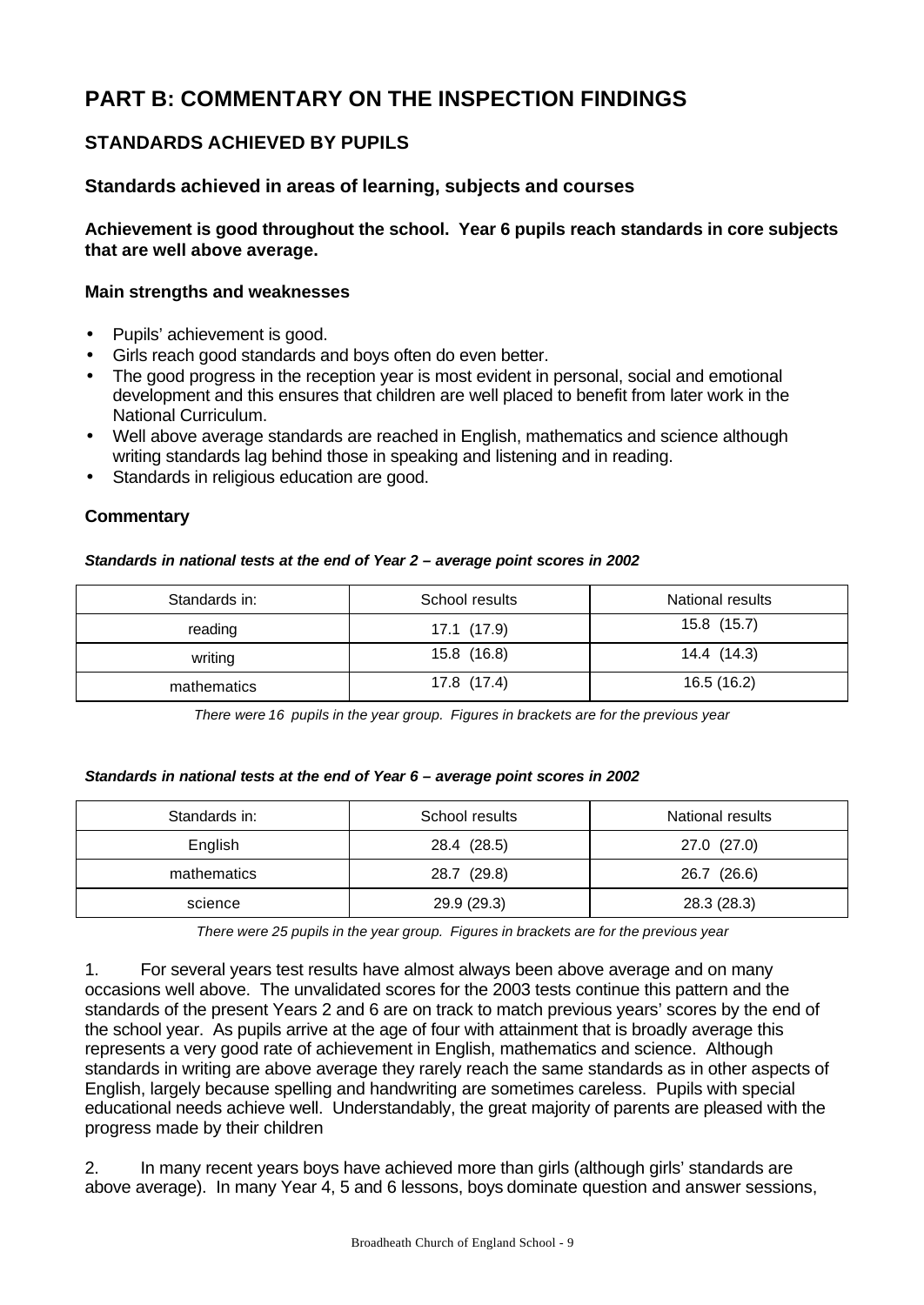# **PART B: COMMENTARY ON THE INSPECTION FINDINGS**

# **STANDARDS ACHIEVED BY PUPILS**

### **Standards achieved in areas of learning, subjects and courses**

**Achievement is good throughout the school. Year 6 pupils reach standards in core subjects that are well above average.**

#### **Main strengths and weaknesses**

- Pupils' achievement is good.
- Girls reach good standards and boys often do even better.
- The good progress in the reception year is most evident in personal, social and emotional development and this ensures that children are well placed to benefit from later work in the National Curriculum.
- Well above average standards are reached in English, mathematics and science although writing standards lag behind those in speaking and listening and in reading.
- Standards in religious education are good.

#### **Commentary**

#### *Standards in national tests at the end of Year 2 – average point scores in 2002*

| Standards in: | School results | National results |
|---------------|----------------|------------------|
| reading       | 17.1 (17.9)    | 15.8 (15.7)      |
| writing       | 15.8 (16.8)    | 14.4 (14.3)      |
| mathematics   | 17.8 (17.4)    | 16.5 (16.2)      |

*There were 16 pupils in the year group. Figures in brackets are for the previous year*

#### *Standards in national tests at the end of Year 6 – average point scores in 2002*

| Standards in: | School results | National results |  |
|---------------|----------------|------------------|--|
| English       | 28.4 (28.5)    | 27.0 (27.0)      |  |
| mathematics   | 28.7 (29.8)    | 26.7 (26.6)      |  |
| science       | 29.9 (29.3)    | 28.3 (28.3)      |  |

*There were 25 pupils in the year group. Figures in brackets are for the previous year*

1. For several years test results have almost always been above average and on many occasions well above. The unvalidated scores for the 2003 tests continue this pattern and the standards of the present Years 2 and 6 are on track to match previous years' scores by the end of the school year. As pupils arrive at the age of four with attainment that is broadly average this represents a very good rate of achievement in English, mathematics and science. Although standards in writing are above average they rarely reach the same standards as in other aspects of English, largely because spelling and handwriting are sometimes careless. Pupils with special educational needs achieve well. Understandably, the great majority of parents are pleased with the progress made by their children

2. In many recent years boys have achieved more than girls (although girls' standards are above average). In many Year 4, 5 and 6 lessons, boys dominate question and answer sessions,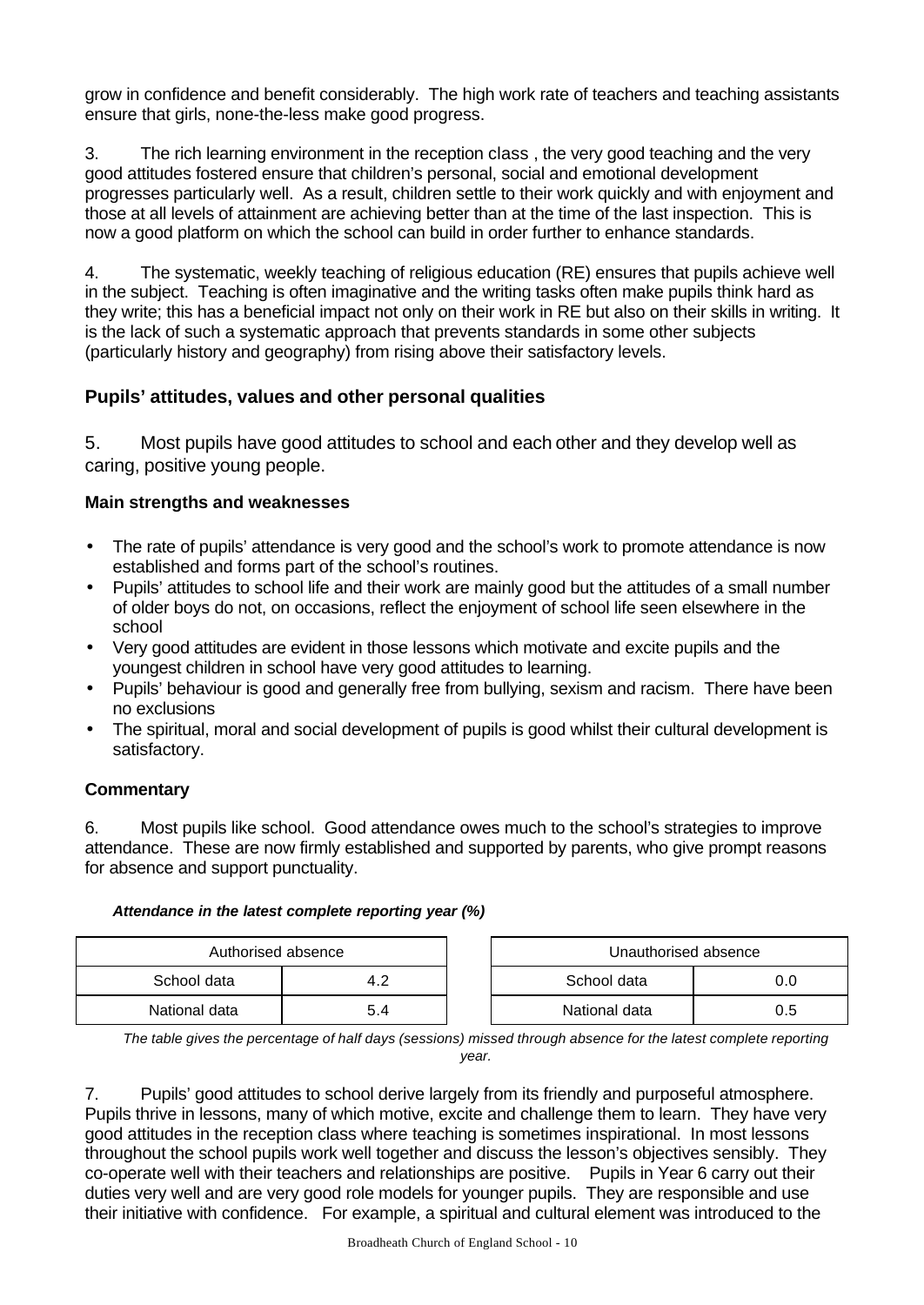grow in confidence and benefit considerably. The high work rate of teachers and teaching assistants ensure that girls, none-the-less make good progress.

3. The rich learning environment in the reception class , the very good teaching and the very good attitudes fostered ensure that children's personal, social and emotional development progresses particularly well. As a result, children settle to their work quickly and with enjoyment and those at all levels of attainment are achieving better than at the time of the last inspection. This is now a good platform on which the school can build in order further to enhance standards.

4. The systematic, weekly teaching of religious education (RE) ensures that pupils achieve well in the subject. Teaching is often imaginative and the writing tasks often make pupils think hard as they write; this has a beneficial impact not only on their work in RE but also on their skills in writing. It is the lack of such a systematic approach that prevents standards in some other subjects (particularly history and geography) from rising above their satisfactory levels.

# **Pupils' attitudes, values and other personal qualities**

5. Most pupils have good attitudes to school and each other and they develop well as caring, positive young people.

### **Main strengths and weaknesses**

- The rate of pupils' attendance is very good and the school's work to promote attendance is now established and forms part of the school's routines.
- Pupils' attitudes to school life and their work are mainly good but the attitudes of a small number of older boys do not, on occasions, reflect the enjoyment of school life seen elsewhere in the school
- Very good attitudes are evident in those lessons which motivate and excite pupils and the youngest children in school have very good attitudes to learning.
- Pupils' behaviour is good and generally free from bullying, sexism and racism. There have been no exclusions
- The spiritual, moral and social development of pupils is good whilst their cultural development is satisfactory.

# **Commentary**

6. Most pupils like school. Good attendance owes much to the school's strategies to improve attendance. These are now firmly established and supported by parents, who give prompt reasons for absence and support punctuality.

#### *Attendance in the latest complete reporting year (%)*

| Authorised absence |     | Unauthorised absence |     |
|--------------------|-----|----------------------|-----|
| School data        | 4.2 | School data          | 0.0 |
| National data      | 5.4 | National data        | 0.5 |

*The table gives the percentage of half days (sessions) missed through absence for the latest complete reporting year.*

7. Pupils' good attitudes to school derive largely from its friendly and purposeful atmosphere. Pupils thrive in lessons, many of which motive, excite and challenge them to learn. They have very good attitudes in the reception class where teaching is sometimes inspirational. In most lessons throughout the school pupils work well together and discuss the lesson's objectives sensibly. They co-operate well with their teachers and relationships are positive. Pupils in Year 6 carry out their duties very well and are very good role models for younger pupils. They are responsible and use their initiative with confidence. For example, a spiritual and cultural element was introduced to the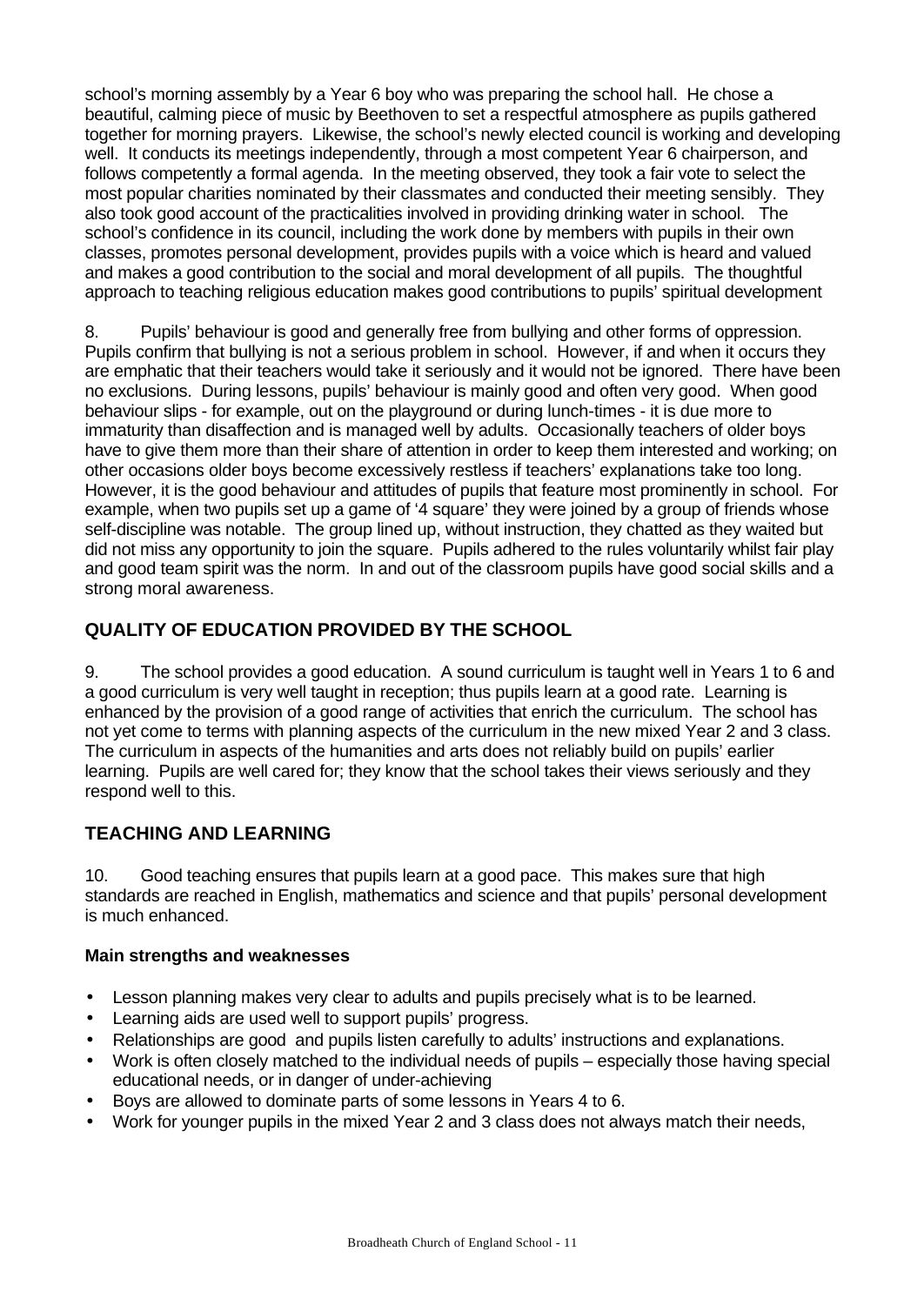school's morning assembly by a Year 6 boy who was preparing the school hall. He chose a beautiful, calming piece of music by Beethoven to set a respectful atmosphere as pupils gathered together for morning prayers. Likewise, the school's newly elected council is working and developing well. It conducts its meetings independently, through a most competent Year 6 chairperson, and follows competently a formal agenda. In the meeting observed, they took a fair vote to select the most popular charities nominated by their classmates and conducted their meeting sensibly. They also took good account of the practicalities involved in providing drinking water in school. The school's confidence in its council, including the work done by members with pupils in their own classes, promotes personal development, provides pupils with a voice which is heard and valued and makes a good contribution to the social and moral development of all pupils. The thoughtful approach to teaching religious education makes good contributions to pupils' spiritual development

8. Pupils' behaviour is good and generally free from bullying and other forms of oppression. Pupils confirm that bullying is not a serious problem in school. However, if and when it occurs they are emphatic that their teachers would take it seriously and it would not be ignored. There have been no exclusions. During lessons, pupils' behaviour is mainly good and often very good. When good behaviour slips - for example, out on the playground or during lunch-times - it is due more to immaturity than disaffection and is managed well by adults. Occasionally teachers of older boys have to give them more than their share of attention in order to keep them interested and working; on other occasions older boys become excessively restless if teachers' explanations take too long. However, it is the good behaviour and attitudes of pupils that feature most prominently in school. For example, when two pupils set up a game of '4 square' they were joined by a group of friends whose self-discipline was notable. The group lined up, without instruction, they chatted as they waited but did not miss any opportunity to join the square. Pupils adhered to the rules voluntarily whilst fair play and good team spirit was the norm. In and out of the classroom pupils have good social skills and a strong moral awareness.

# **QUALITY OF EDUCATION PROVIDED BY THE SCHOOL**

9. The school provides a good education. A sound curriculum is taught well in Years 1 to 6 and a good curriculum is very well taught in reception; thus pupils learn at a good rate. Learning is enhanced by the provision of a good range of activities that enrich the curriculum. The school has not yet come to terms with planning aspects of the curriculum in the new mixed Year 2 and 3 class. The curriculum in aspects of the humanities and arts does not reliably build on pupils' earlier learning. Pupils are well cared for; they know that the school takes their views seriously and they respond well to this.

# **TEACHING AND LEARNING**

10. Good teaching ensures that pupils learn at a good pace. This makes sure that high standards are reached in English, mathematics and science and that pupils' personal development is much enhanced.

- Lesson planning makes very clear to adults and pupils precisely what is to be learned.
- Learning aids are used well to support pupils' progress.
- Relationships are good and pupils listen carefully to adults' instructions and explanations.
- Work is often closely matched to the individual needs of pupils especially those having special educational needs, or in danger of under-achieving
- Boys are allowed to dominate parts of some lessons in Years 4 to 6.
- Work for younger pupils in the mixed Year 2 and 3 class does not always match their needs,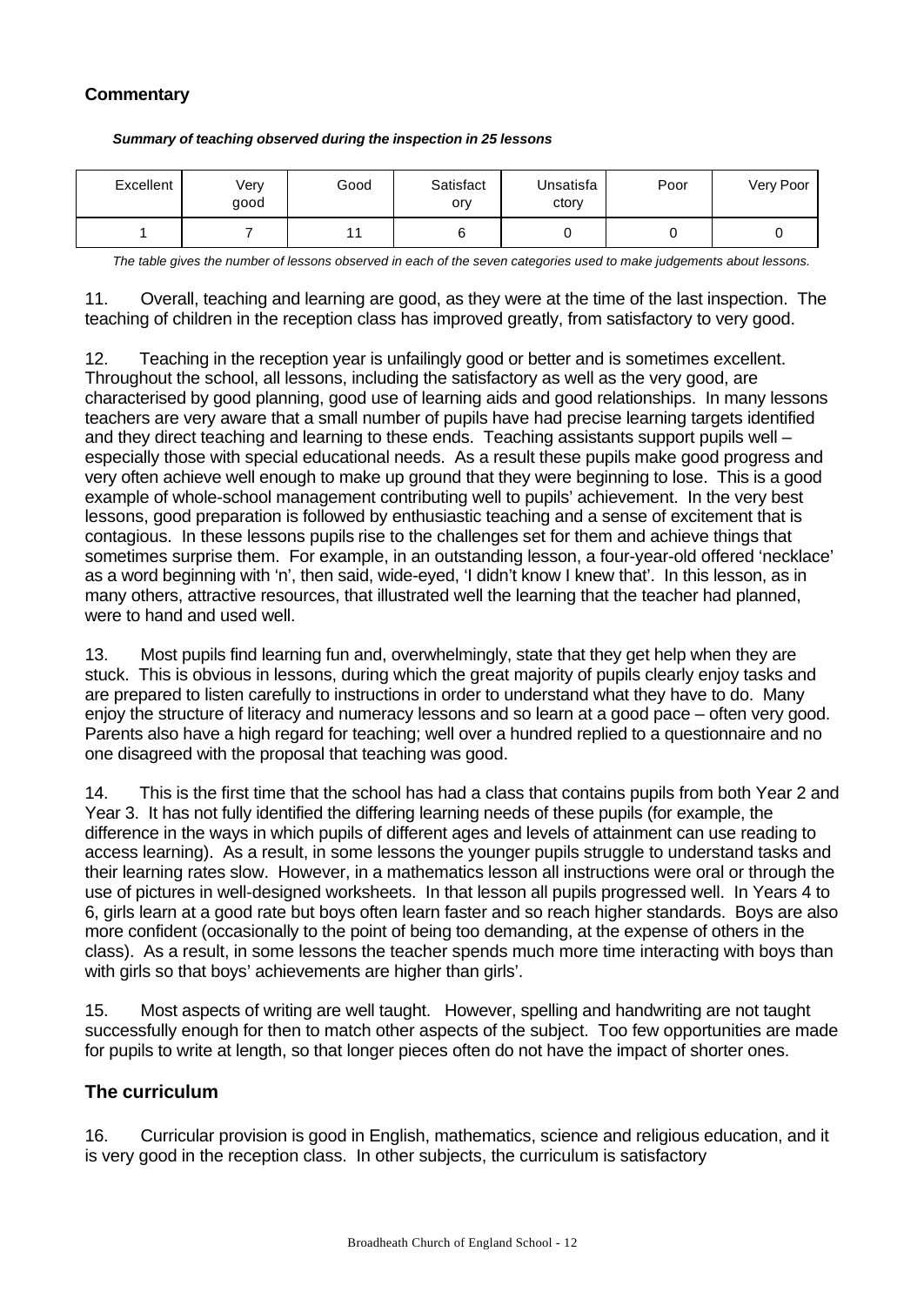### **Commentary**

| Excellent | Verv<br>good | Good | Satisfact<br>ory | Unsatisfa<br>ctory | Poor | Very Poor |
|-----------|--------------|------|------------------|--------------------|------|-----------|
|           |              |      |                  |                    |      |           |

#### *Summary of teaching observed during the inspection in 25 lessons*

*The table gives the number of lessons observed in each of the seven categories used to make judgements about lessons.*

11. Overall, teaching and learning are good, as they were at the time of the last inspection. The teaching of children in the reception class has improved greatly, from satisfactory to very good.

12. Teaching in the reception year is unfailingly good or better and is sometimes excellent. Throughout the school, all lessons, including the satisfactory as well as the very good, are characterised by good planning, good use of learning aids and good relationships. In many lessons teachers are very aware that a small number of pupils have had precise learning targets identified and they direct teaching and learning to these ends. Teaching assistants support pupils well – especially those with special educational needs. As a result these pupils make good progress and very often achieve well enough to make up ground that they were beginning to lose. This is a good example of whole-school management contributing well to pupils' achievement. In the very best lessons, good preparation is followed by enthusiastic teaching and a sense of excitement that is contagious. In these lessons pupils rise to the challenges set for them and achieve things that sometimes surprise them. For example, in an outstanding lesson, a four-year-old offered 'necklace' as a word beginning with 'n', then said, wide-eyed, 'I didn't know I knew that'. In this lesson, as in many others, attractive resources, that illustrated well the learning that the teacher had planned, were to hand and used well.

13. Most pupils find learning fun and, overwhelmingly, state that they get help when they are stuck. This is obvious in lessons, during which the great majority of pupils clearly enjoy tasks and are prepared to listen carefully to instructions in order to understand what they have to do. Many enjoy the structure of literacy and numeracy lessons and so learn at a good pace – often very good. Parents also have a high regard for teaching; well over a hundred replied to a questionnaire and no one disagreed with the proposal that teaching was good.

14. This is the first time that the school has had a class that contains pupils from both Year 2 and Year 3. It has not fully identified the differing learning needs of these pupils (for example, the difference in the ways in which pupils of different ages and levels of attainment can use reading to access learning). As a result, in some lessons the younger pupils struggle to understand tasks and their learning rates slow. However, in a mathematics lesson all instructions were oral or through the use of pictures in well-designed worksheets. In that lesson all pupils progressed well. In Years 4 to 6, girls learn at a good rate but boys often learn faster and so reach higher standards. Boys are also more confident (occasionally to the point of being too demanding, at the expense of others in the class). As a result, in some lessons the teacher spends much more time interacting with boys than with girls so that boys' achievements are higher than girls'.

15. Most aspects of writing are well taught. However, spelling and handwriting are not taught successfully enough for then to match other aspects of the subject. Too few opportunities are made for pupils to write at length, so that longer pieces often do not have the impact of shorter ones.

#### **The curriculum**

16. Curricular provision is good in English, mathematics, science and religious education, and it is very good in the reception class. In other subjects, the curriculum is satisfactory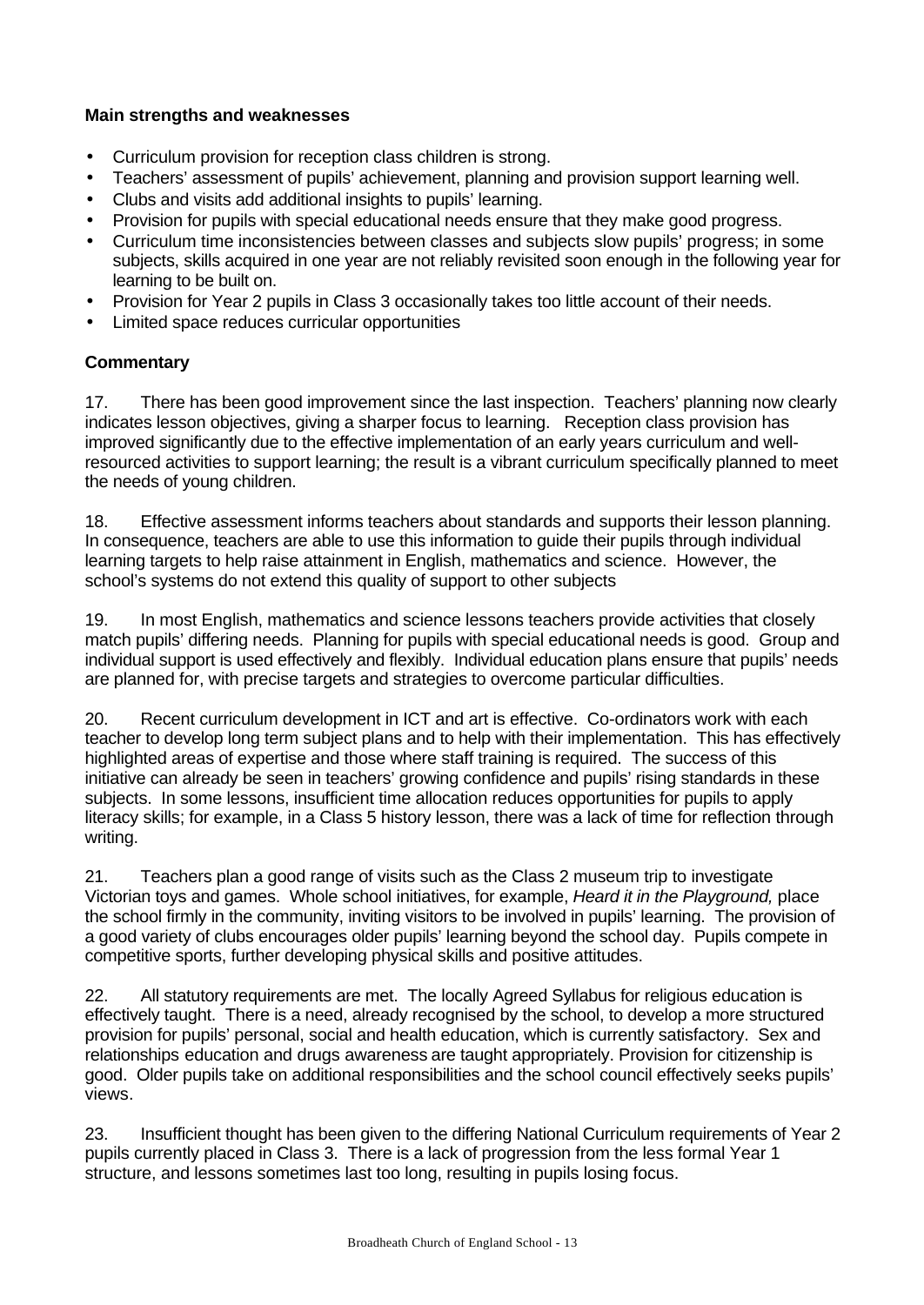### **Main strengths and weaknesses**

- Curriculum provision for reception class children is strong.
- Teachers' assessment of pupils' achievement, planning and provision support learning well.
- Clubs and visits add additional insights to pupils' learning.
- Provision for pupils with special educational needs ensure that they make good progress.
- Curriculum time inconsistencies between classes and subjects slow pupils' progress; in some subjects, skills acquired in one year are not reliably revisited soon enough in the following year for learning to be built on.
- Provision for Year 2 pupils in Class 3 occasionally takes too little account of their needs.
- Limited space reduces curricular opportunities

# **Commentary**

17. There has been good improvement since the last inspection. Teachers' planning now clearly indicates lesson objectives, giving a sharper focus to learning. Reception class provision has improved significantly due to the effective implementation of an early years curriculum and wellresourced activities to support learning; the result is a vibrant curriculum specifically planned to meet the needs of young children.

18. Effective assessment informs teachers about standards and supports their lesson planning. In consequence, teachers are able to use this information to guide their pupils through individual learning targets to help raise attainment in English, mathematics and science. However, the school's systems do not extend this quality of support to other subjects

19. In most English, mathematics and science lessons teachers provide activities that closely match pupils' differing needs. Planning for pupils with special educational needs is good. Group and individual support is used effectively and flexibly. Individual education plans ensure that pupils' needs are planned for, with precise targets and strategies to overcome particular difficulties.

20. Recent curriculum development in ICT and art is effective. Co-ordinators work with each teacher to develop long term subject plans and to help with their implementation. This has effectively highlighted areas of expertise and those where staff training is required. The success of this initiative can already be seen in teachers' growing confidence and pupils' rising standards in these subjects. In some lessons, insufficient time allocation reduces opportunities for pupils to apply literacy skills; for example, in a Class 5 history lesson, there was a lack of time for reflection through writing.

21. Teachers plan a good range of visits such as the Class 2 museum trip to investigate Victorian toys and games. Whole school initiatives, for example, *Heard it in the Playground,* place the school firmly in the community, inviting visitors to be involved in pupils' learning. The provision of a good variety of clubs encourages older pupils' learning beyond the school day. Pupils compete in competitive sports, further developing physical skills and positive attitudes.

22. All statutory requirements are met. The locally Agreed Syllabus for religious education is effectively taught. There is a need, already recognised by the school, to develop a more structured provision for pupils' personal, social and health education, which is currently satisfactory. Sex and relationships education and drugs awareness are taught appropriately. Provision for citizenship is good. Older pupils take on additional responsibilities and the school council effectively seeks pupils' views.

23. Insufficient thought has been given to the differing National Curriculum requirements of Year 2 pupils currently placed in Class 3. There is a lack of progression from the less formal Year 1 structure, and lessons sometimes last too long, resulting in pupils losing focus.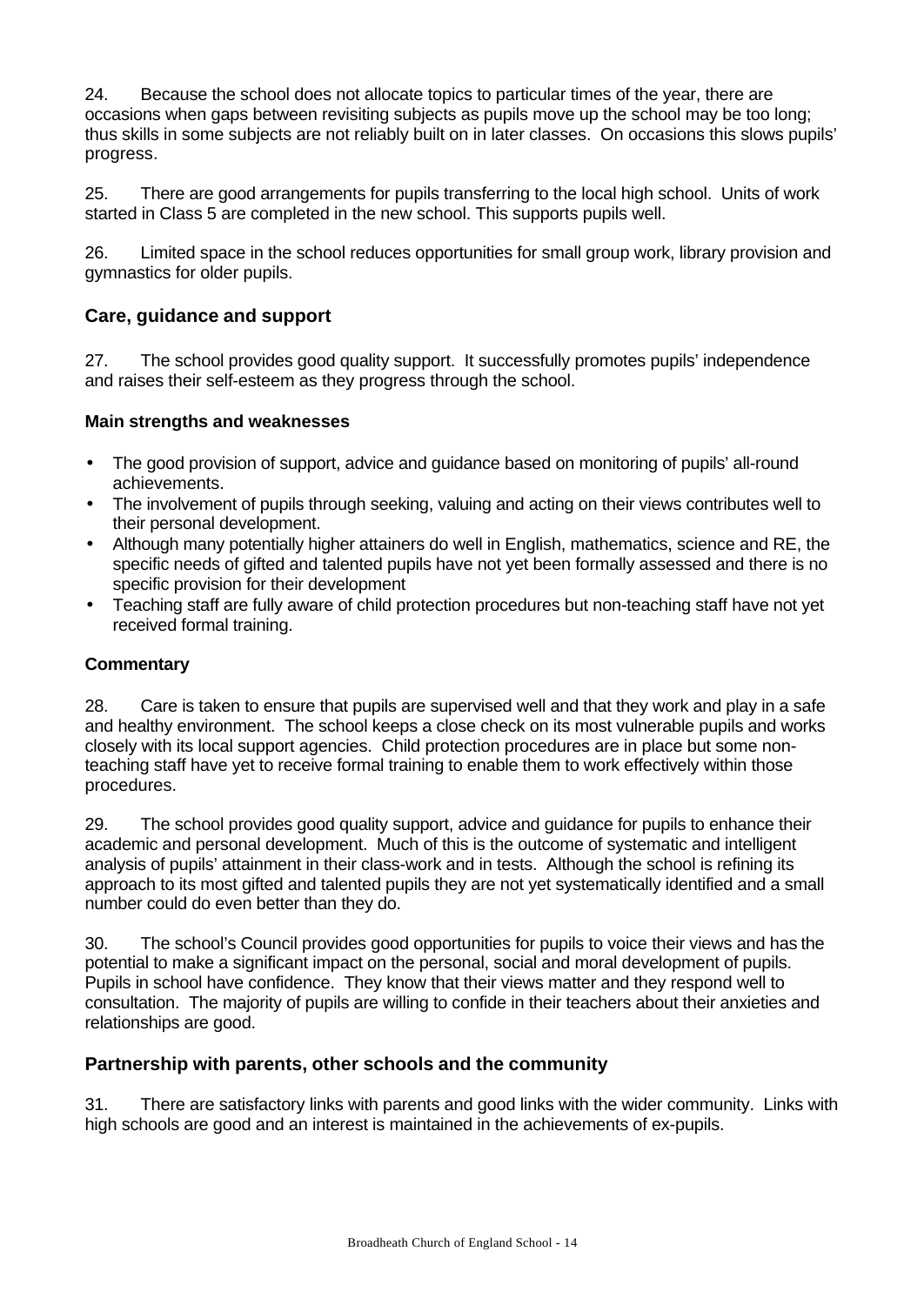24. Because the school does not allocate topics to particular times of the year, there are occasions when gaps between revisiting subjects as pupils move up the school may be too long; thus skills in some subjects are not reliably built on in later classes. On occasions this slows pupils' progress.

25. There are good arrangements for pupils transferring to the local high school. Units of work started in Class 5 are completed in the new school. This supports pupils well.

26. Limited space in the school reduces opportunities for small group work, library provision and gymnastics for older pupils.

# **Care, guidance and support**

27. The school provides good quality support. It successfully promotes pupils' independence and raises their self-esteem as they progress through the school.

### **Main strengths and weaknesses**

- The good provision of support, advice and guidance based on monitoring of pupils' all-round achievements.
- The involvement of pupils through seeking, valuing and acting on their views contributes well to their personal development.
- Although many potentially higher attainers do well in English, mathematics, science and RE, the specific needs of gifted and talented pupils have not yet been formally assessed and there is no specific provision for their development
- Teaching staff are fully aware of child protection procedures but non-teaching staff have not yet received formal training.

# **Commentary**

28. Care is taken to ensure that pupils are supervised well and that they work and play in a safe and healthy environment. The school keeps a close check on its most vulnerable pupils and works closely with its local support agencies. Child protection procedures are in place but some nonteaching staff have yet to receive formal training to enable them to work effectively within those procedures.

29. The school provides good quality support, advice and guidance for pupils to enhance their academic and personal development. Much of this is the outcome of systematic and intelligent analysis of pupils' attainment in their class-work and in tests. Although the school is refining its approach to its most gifted and talented pupils they are not yet systematically identified and a small number could do even better than they do.

30. The school's Council provides good opportunities for pupils to voice their views and has the potential to make a significant impact on the personal, social and moral development of pupils. Pupils in school have confidence. They know that their views matter and they respond well to consultation. The majority of pupils are willing to confide in their teachers about their anxieties and relationships are good.

# **Partnership with parents, other schools and the community**

31. There are satisfactory links with parents and good links with the wider community. Links with high schools are good and an interest is maintained in the achievements of ex-pupils.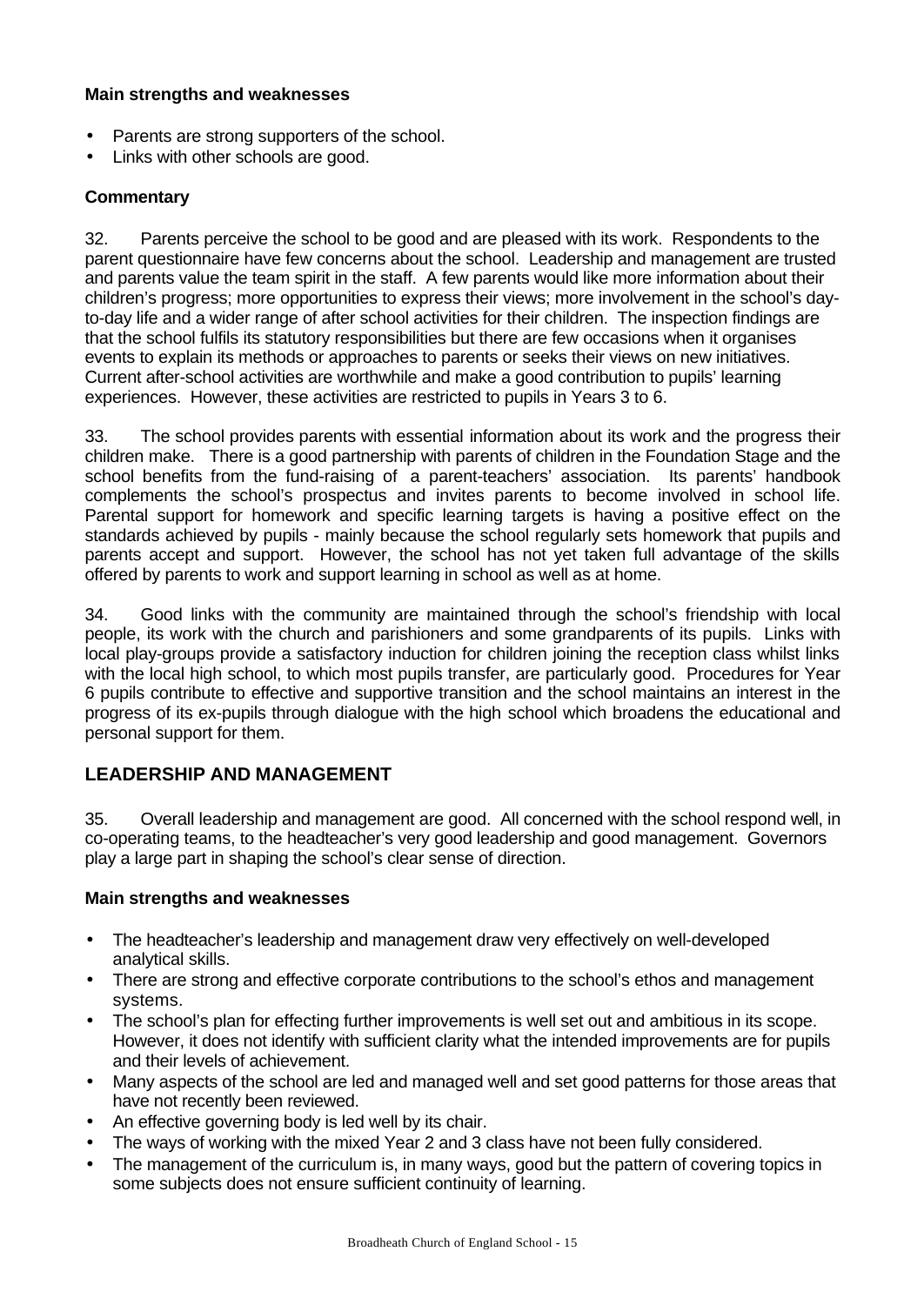#### **Main strengths and weaknesses**

- Parents are strong supporters of the school.
- Links with other schools are good.

### **Commentary**

32. Parents perceive the school to be good and are pleased with its work. Respondents to the parent questionnaire have few concerns about the school. Leadership and management are trusted and parents value the team spirit in the staff. A few parents would like more information about their children's progress; more opportunities to express their views; more involvement in the school's dayto-day life and a wider range of after school activities for their children. The inspection findings are that the school fulfils its statutory responsibilities but there are few occasions when it organises events to explain its methods or approaches to parents or seeks their views on new initiatives. Current after-school activities are worthwhile and make a good contribution to pupils' learning experiences. However, these activities are restricted to pupils in Years 3 to 6.

33. The school provides parents with essential information about its work and the progress their children make. There is a good partnership with parents of children in the Foundation Stage and the school benefits from the fund-raising of a parent-teachers' association. Its parents' handbook complements the school's prospectus and invites parents to become involved in school life. Parental support for homework and specific learning targets is having a positive effect on the standards achieved by pupils - mainly because the school regularly sets homework that pupils and parents accept and support. However, the school has not yet taken full advantage of the skills offered by parents to work and support learning in school as well as at home.

34. Good links with the community are maintained through the school's friendship with local people, its work with the church and parishioners and some grandparents of its pupils. Links with local play-groups provide a satisfactory induction for children joining the reception class whilst links with the local high school, to which most pupils transfer, are particularly good. Procedures for Year 6 pupils contribute to effective and supportive transition and the school maintains an interest in the progress of its ex-pupils through dialogue with the high school which broadens the educational and personal support for them.

# **LEADERSHIP AND MANAGEMENT**

35. Overall leadership and management are good. All concerned with the school respond well, in co-operating teams, to the headteacher's very good leadership and good management. Governors play a large part in shaping the school's clear sense of direction.

- The headteacher's leadership and management draw very effectively on well-developed analytical skills.
- There are strong and effective corporate contributions to the school's ethos and management systems.
- The school's plan for effecting further improvements is well set out and ambitious in its scope. However, it does not identify with sufficient clarity what the intended improvements are for pupils and their levels of achievement.
- Many aspects of the school are led and managed well and set good patterns for those areas that have not recently been reviewed.
- An effective governing body is led well by its chair.
- The ways of working with the mixed Year 2 and 3 class have not been fully considered.
- The management of the curriculum is, in many ways, good but the pattern of covering topics in some subjects does not ensure sufficient continuity of learning.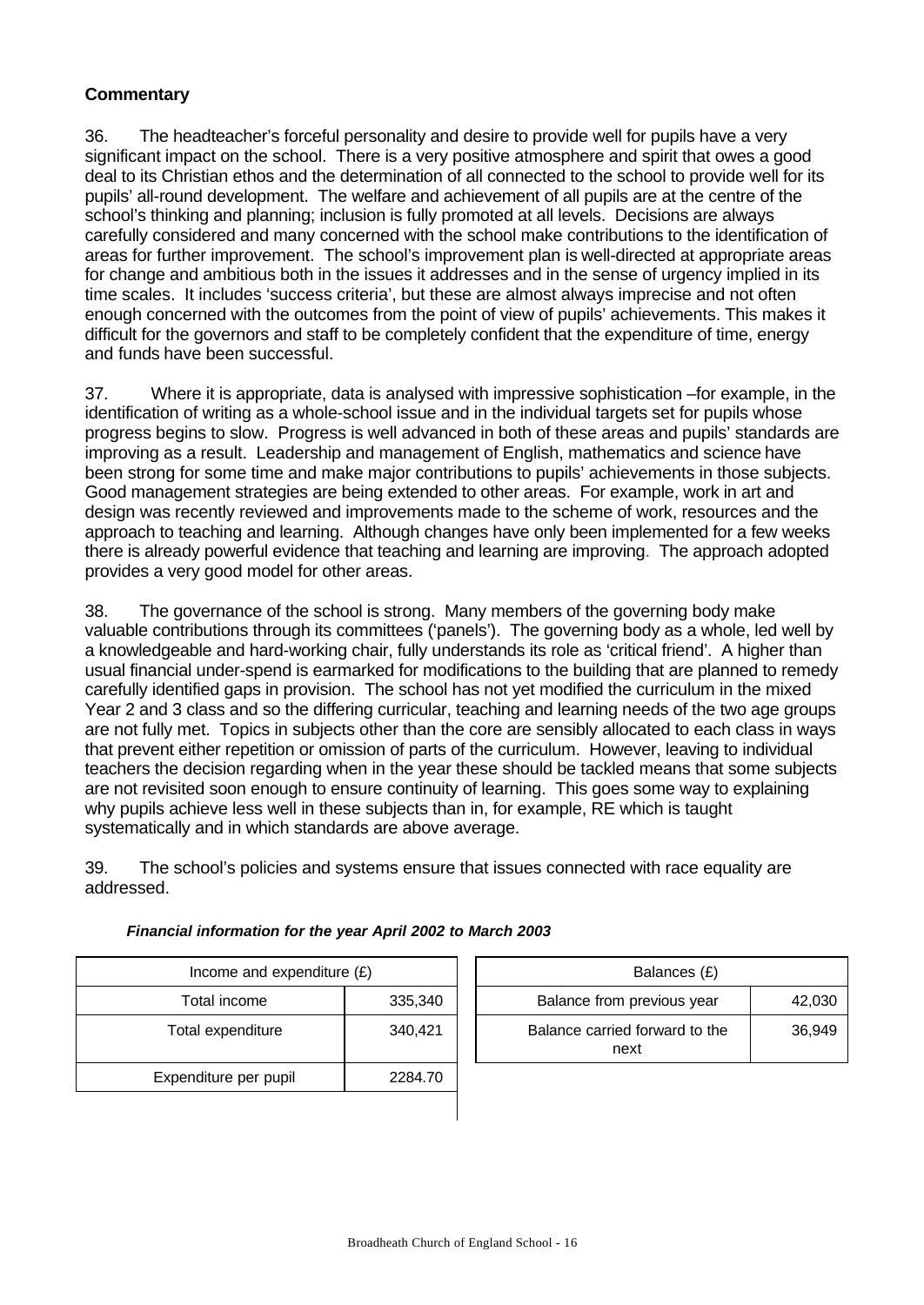# **Commentary**

36. The headteacher's forceful personality and desire to provide well for pupils have a very significant impact on the school. There is a very positive atmosphere and spirit that owes a good deal to its Christian ethos and the determination of all connected to the school to provide well for its pupils' all-round development. The welfare and achievement of all pupils are at the centre of the school's thinking and planning; inclusion is fully promoted at all levels. Decisions are always carefully considered and many concerned with the school make contributions to the identification of areas for further improvement. The school's improvement plan is well-directed at appropriate areas for change and ambitious both in the issues it addresses and in the sense of urgency implied in its time scales. It includes 'success criteria', but these are almost always imprecise and not often enough concerned with the outcomes from the point of view of pupils' achievements. This makes it difficult for the governors and staff to be completely confident that the expenditure of time, energy and funds have been successful.

37. Where it is appropriate, data is analysed with impressive sophistication –for example, in the identification of writing as a whole-school issue and in the individual targets set for pupils whose progress begins to slow. Progress is well advanced in both of these areas and pupils' standards are improving as a result. Leadership and management of English, mathematics and science have been strong for some time and make major contributions to pupils' achievements in those subjects. Good management strategies are being extended to other areas. For example, work in art and design was recently reviewed and improvements made to the scheme of work, resources and the approach to teaching and learning. Although changes have only been implemented for a few weeks there is already powerful evidence that teaching and learning are improving. The approach adopted provides a very good model for other areas.

38. The governance of the school is strong. Many members of the governing body make valuable contributions through its committees ('panels'). The governing body as a whole, led well by a knowledgeable and hard-working chair, fully understands its role as 'critical friend'. A higher than usual financial under-spend is earmarked for modifications to the building that are planned to remedy carefully identified gaps in provision. The school has not yet modified the curriculum in the mixed Year 2 and 3 class and so the differing curricular, teaching and learning needs of the two age groups are not fully met. Topics in subjects other than the core are sensibly allocated to each class in ways that prevent either repetition or omission of parts of the curriculum. However, leaving to individual teachers the decision regarding when in the year these should be tackled means that some subjects are not revisited soon enough to ensure continuity of learning. This goes some way to explaining why pupils achieve less well in these subjects than in, for example, RE which is taught systematically and in which standards are above average.

39. The school's policies and systems ensure that issues connected with race equality are addressed.

| Income and expenditure $(E)$ |         | Balances (£)                           |        |
|------------------------------|---------|----------------------------------------|--------|
| Total income                 | 335,340 | Balance from previous year             | 42,030 |
| Total expenditure            | 340,421 | Balance carried forward to the<br>next | 36,949 |
| Expenditure per pupil        | 2284.70 |                                        |        |
|                              |         |                                        |        |

| Balances (£)                           |        |
|----------------------------------------|--------|
| Balance from previous year             | 42,030 |
| Balance carried forward to the<br>next | 36.949 |

#### *Financial information for the year April 2002 to March 2003*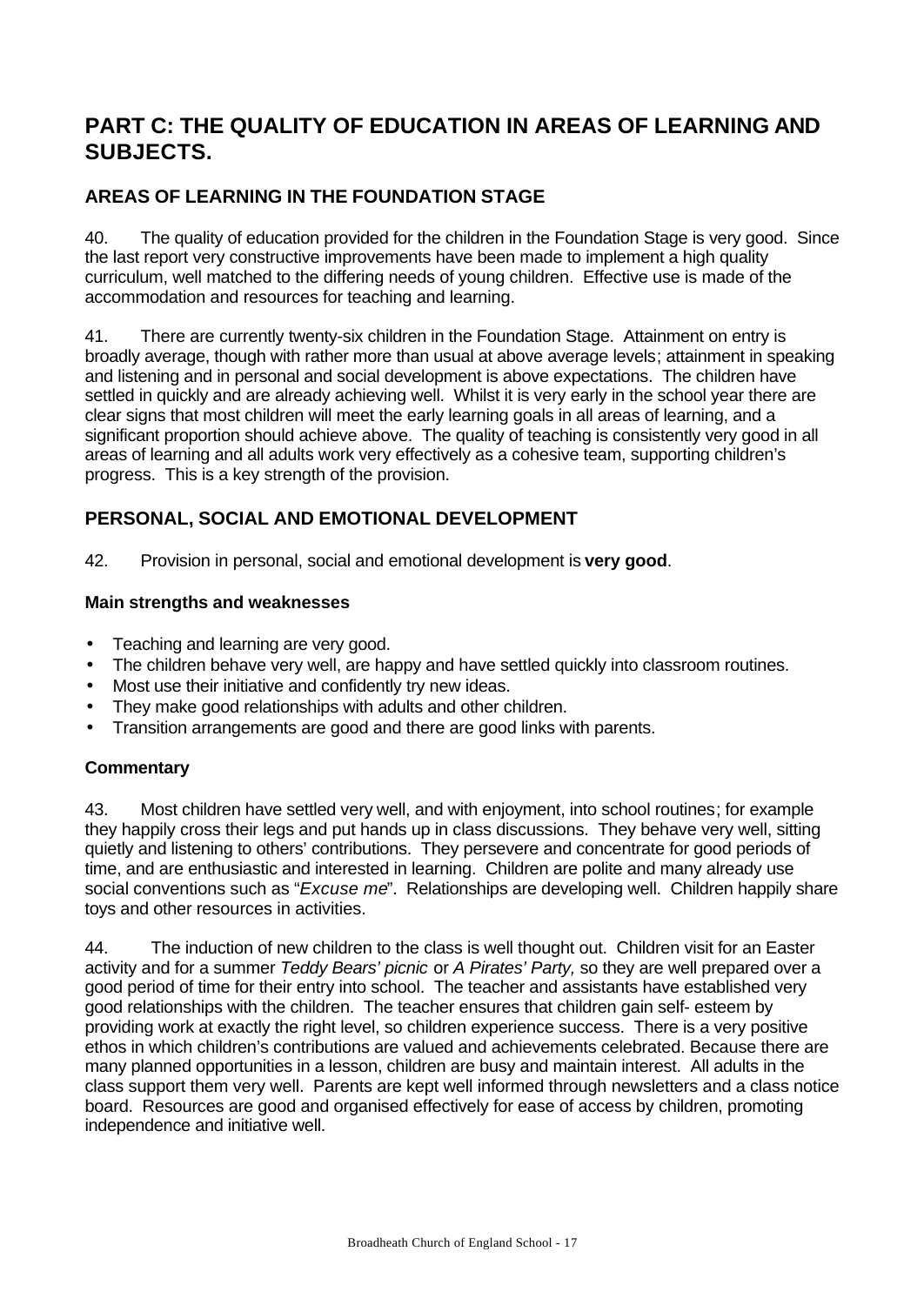# **PART C: THE QUALITY OF EDUCATION IN AREAS OF LEARNING AND SUBJECTS.**

# **AREAS OF LEARNING IN THE FOUNDATION STAGE**

40. The quality of education provided for the children in the Foundation Stage is very good. Since the last report very constructive improvements have been made to implement a high quality curriculum, well matched to the differing needs of young children. Effective use is made of the accommodation and resources for teaching and learning.

41. There are currently twenty-six children in the Foundation Stage. Attainment on entry is broadly average, though with rather more than usual at above average levels; attainment in speaking and listening and in personal and social development is above expectations. The children have settled in quickly and are already achieving well. Whilst it is very early in the school year there are clear signs that most children will meet the early learning goals in all areas of learning, and a significant proportion should achieve above. The quality of teaching is consistently very good in all areas of learning and all adults work very effectively as a cohesive team, supporting children's progress. This is a key strength of the provision.

# **PERSONAL, SOCIAL AND EMOTIONAL DEVELOPMENT**

42. Provision in personal, social and emotional development is **very good**.

### **Main strengths and weaknesses**

- Teaching and learning are very good.
- The children behave very well, are happy and have settled quickly into classroom routines.
- Most use their initiative and confidently try new ideas.
- They make good relationships with adults and other children.
- Transition arrangements are good and there are good links with parents.

#### **Commentary**

43. Most children have settled very well, and with enjoyment, into school routines; for example they happily cross their legs and put hands up in class discussions. They behave very well, sitting quietly and listening to others' contributions. They persevere and concentrate for good periods of time, and are enthusiastic and interested in learning. Children are polite and many already use social conventions such as "*Excuse me*". Relationships are developing well. Children happily share toys and other resources in activities.

44. The induction of new children to the class is well thought out. Children visit for an Easter activity and for a summer *Teddy Bears' picnic* or *A Pirates' Party,* so they are well prepared over a good period of time for their entry into school. The teacher and assistants have established very good relationships with the children. The teacher ensures that children gain self- esteem by providing work at exactly the right level, so children experience success. There is a very positive ethos in which children's contributions are valued and achievements celebrated. Because there are many planned opportunities in a lesson, children are busy and maintain interest. All adults in the class support them very well. Parents are kept well informed through newsletters and a class notice board. Resources are good and organised effectively for ease of access by children, promoting independence and initiative well.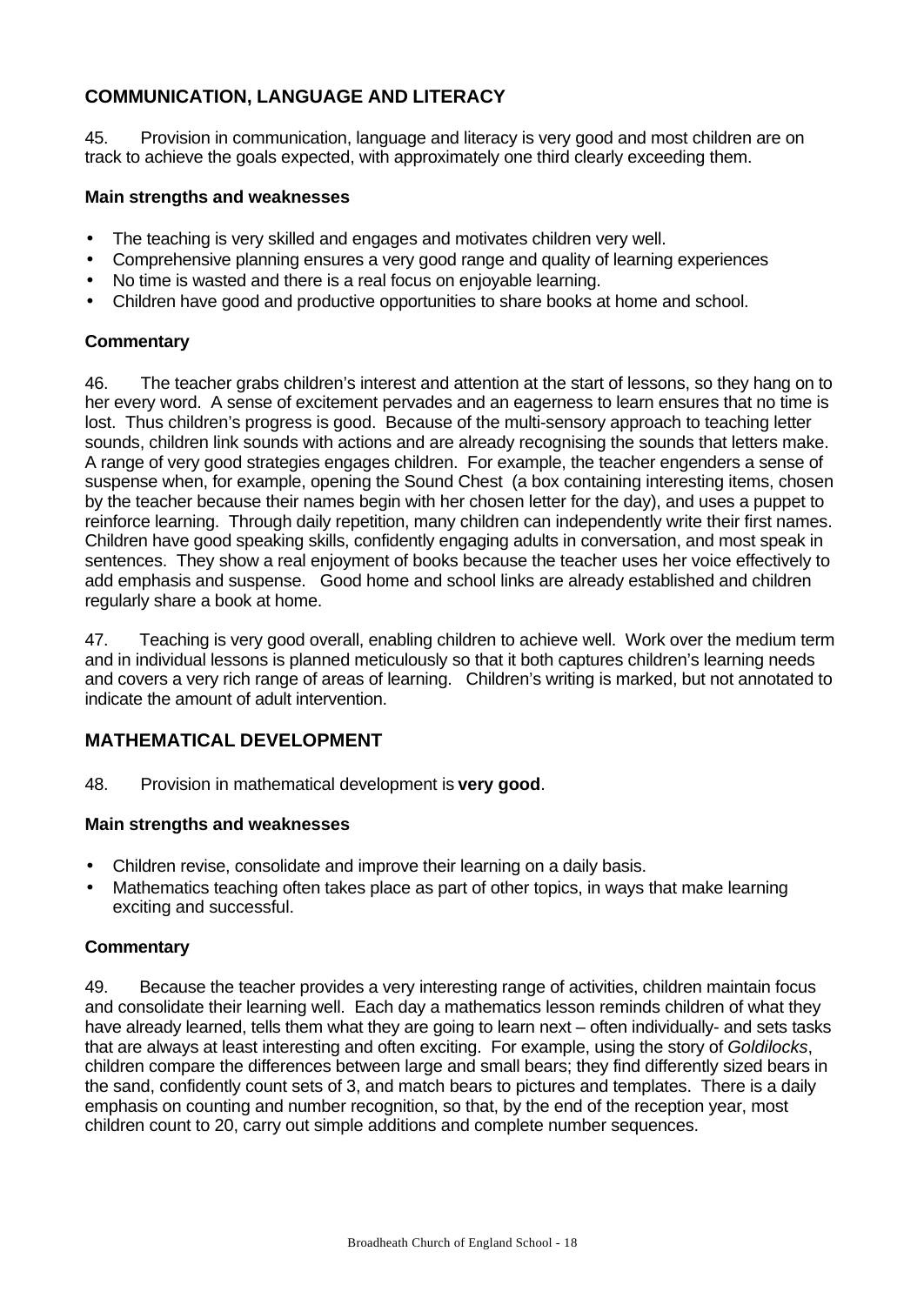# **COMMUNICATION, LANGUAGE AND LITERACY**

45. Provision in communication, language and literacy is very good and most children are on track to achieve the goals expected, with approximately one third clearly exceeding them.

#### **Main strengths and weaknesses**

- The teaching is very skilled and engages and motivates children very well.
- Comprehensive planning ensures a very good range and quality of learning experiences
- No time is wasted and there is a real focus on enjoyable learning.
- Children have good and productive opportunities to share books at home and school.

### **Commentary**

46. The teacher grabs children's interest and attention at the start of lessons, so they hang on to her every word. A sense of excitement pervades and an eagerness to learn ensures that no time is lost. Thus children's progress is good. Because of the multi-sensory approach to teaching letter sounds, children link sounds with actions and are already recognising the sounds that letters make. A range of very good strategies engages children. For example, the teacher engenders a sense of suspense when, for example, opening the Sound Chest (a box containing interesting items, chosen by the teacher because their names begin with her chosen letter for the day), and uses a puppet to reinforce learning. Through daily repetition, many children can independently write their first names. Children have good speaking skills, confidently engaging adults in conversation, and most speak in sentences. They show a real enjoyment of books because the teacher uses her voice effectively to add emphasis and suspense. Good home and school links are already established and children regularly share a book at home.

47. Teaching is very good overall, enabling children to achieve well. Work over the medium term and in individual lessons is planned meticulously so that it both captures children's learning needs and covers a very rich range of areas of learning. Children's writing is marked, but not annotated to indicate the amount of adult intervention.

# **MATHEMATICAL DEVELOPMENT**

48. Provision in mathematical development is **very good**.

#### **Main strengths and weaknesses**

- Children revise, consolidate and improve their learning on a daily basis.
- Mathematics teaching often takes place as part of other topics, in ways that make learning exciting and successful.

#### **Commentary**

49. Because the teacher provides a very interesting range of activities, children maintain focus and consolidate their learning well. Each day a mathematics lesson reminds children of what they have already learned, tells them what they are going to learn next – often individually- and sets tasks that are always at least interesting and often exciting. For example, using the story of *Goldilocks*, children compare the differences between large and small bears; they find differently sized bears in the sand, confidently count sets of 3, and match bears to pictures and templates. There is a daily emphasis on counting and number recognition, so that, by the end of the reception year, most children count to 20, carry out simple additions and complete number sequences.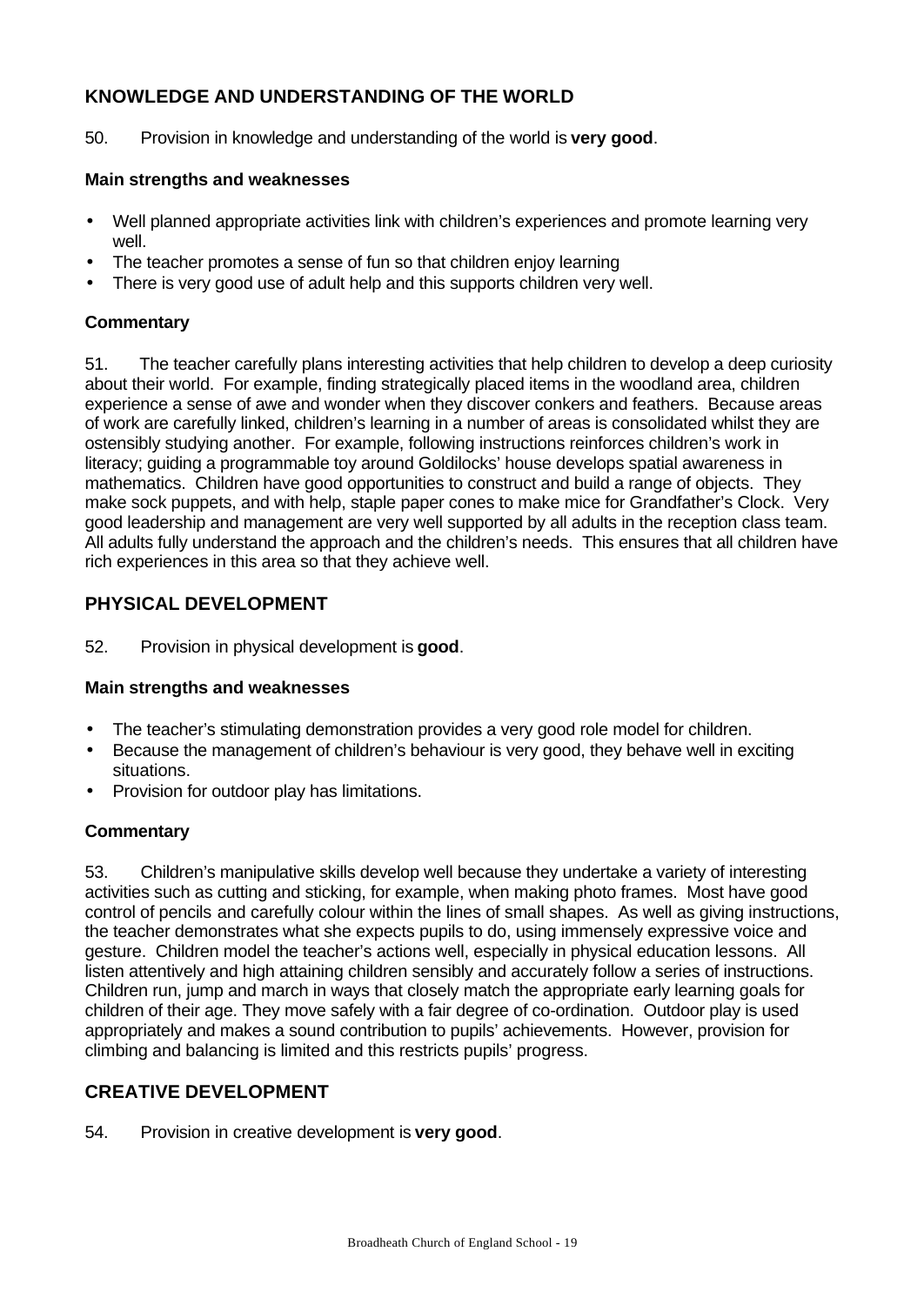# **KNOWLEDGE AND UNDERSTANDING OF THE WORLD**

50. Provision in knowledge and understanding of the world is **very good**.

#### **Main strengths and weaknesses**

- Well planned appropriate activities link with children's experiences and promote learning very well.
- The teacher promotes a sense of fun so that children enjoy learning
- There is very good use of adult help and this supports children very well.

### **Commentary**

51. The teacher carefully plans interesting activities that help children to develop a deep curiosity about their world. For example, finding strategically placed items in the woodland area, children experience a sense of awe and wonder when they discover conkers and feathers. Because areas of work are carefully linked, children's learning in a number of areas is consolidated whilst they are ostensibly studying another. For example, following instructions reinforces children's work in literacy; guiding a programmable toy around Goldilocks' house develops spatial awareness in mathematics. Children have good opportunities to construct and build a range of objects. They make sock puppets, and with help, staple paper cones to make mice for Grandfather's Clock. Very good leadership and management are very well supported by all adults in the reception class team. All adults fully understand the approach and the children's needs. This ensures that all children have rich experiences in this area so that they achieve well.

# **PHYSICAL DEVELOPMENT**

52. Provision in physical development is **good**.

#### **Main strengths and weaknesses**

- The teacher's stimulating demonstration provides a very good role model for children.
- Because the management of children's behaviour is very good, they behave well in exciting situations.
- Provision for outdoor play has limitations.

# **Commentary**

53. Children's manipulative skills develop well because they undertake a variety of interesting activities such as cutting and sticking, for example, when making photo frames. Most have good control of pencils and carefully colour within the lines of small shapes. As well as giving instructions, the teacher demonstrates what she expects pupils to do, using immensely expressive voice and gesture. Children model the teacher's actions well, especially in physical education lessons. All listen attentively and high attaining children sensibly and accurately follow a series of instructions. Children run, jump and march in ways that closely match the appropriate early learning goals for children of their age. They move safely with a fair degree of co-ordination. Outdoor play is used appropriately and makes a sound contribution to pupils' achievements. However, provision for climbing and balancing is limited and this restricts pupils' progress.

# **CREATIVE DEVELOPMENT**

54. Provision in creative development is **very good**.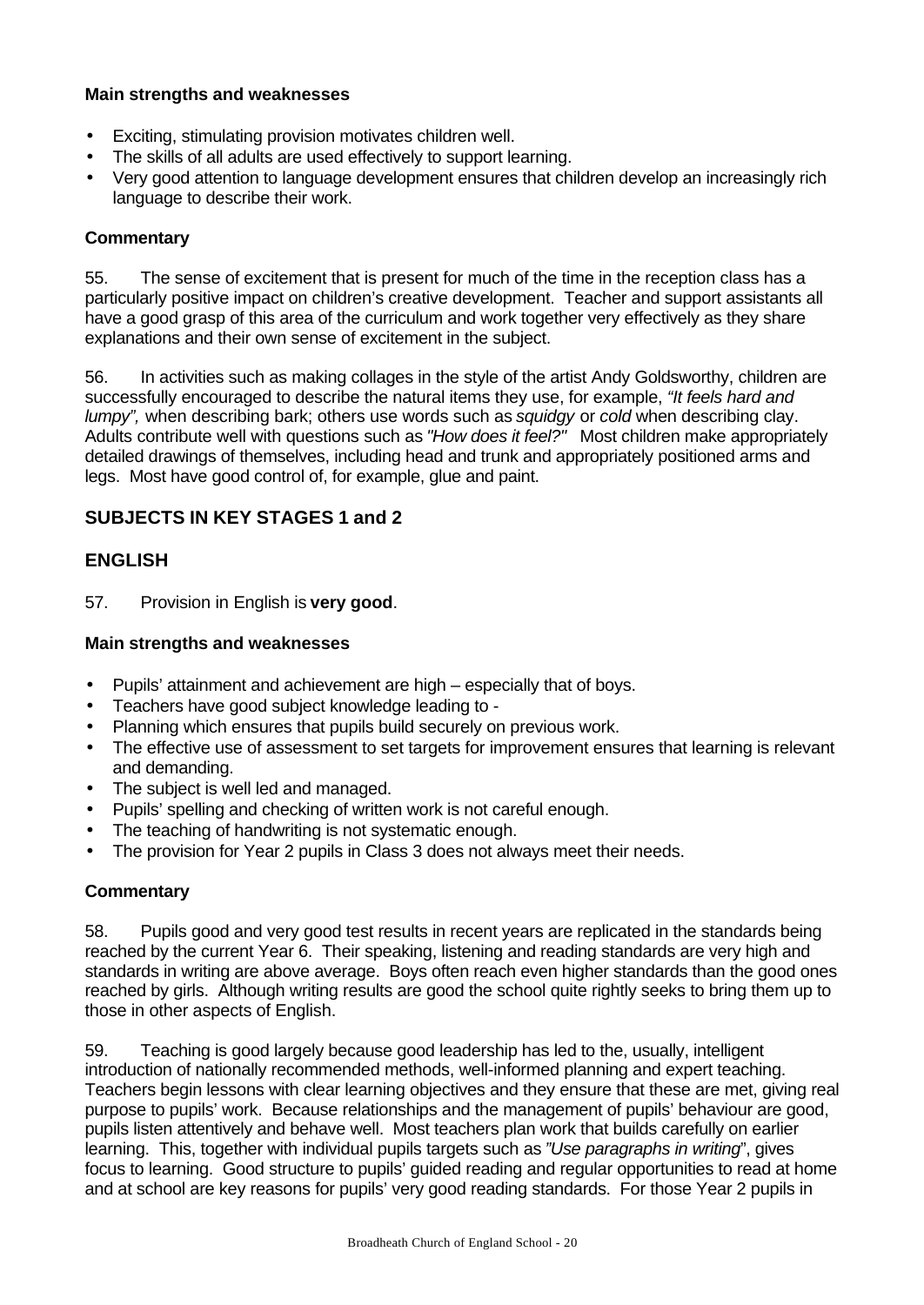#### **Main strengths and weaknesses**

- Exciting, stimulating provision motivates children well.
- The skills of all adults are used effectively to support learning.
- Very good attention to language development ensures that children develop an increasingly rich language to describe their work.

# **Commentary**

55. The sense of excitement that is present for much of the time in the reception class has a particularly positive impact on children's creative development. Teacher and support assistants all have a good grasp of this area of the curriculum and work together very effectively as they share explanations and their own sense of excitement in the subject.

56. In activities such as making collages in the style of the artist Andy Goldsworthy, children are successfully encouraged to describe the natural items they use, for example, *"It feels hard and lumpy",* when describing bark; others use words such as *squidgy* or *cold* when describing clay. Adults contribute well with questions such as *"How does it feel?"* Most children make appropriately detailed drawings of themselves, including head and trunk and appropriately positioned arms and legs. Most have good control of, for example, glue and paint.

# **SUBJECTS IN KEY STAGES 1 and 2**

# **ENGLISH**

57. Provision in English is **very good**.

### **Main strengths and weaknesses**

- Pupils' attainment and achievement are high especially that of boys.
- Teachers have good subject knowledge leading to -
- Planning which ensures that pupils build securely on previous work.
- The effective use of assessment to set targets for improvement ensures that learning is relevant and demanding.
- The subject is well led and managed.
- Pupils' spelling and checking of written work is not careful enough.
- The teaching of handwriting is not systematic enough.
- The provision for Year 2 pupils in Class 3 does not always meet their needs.

# **Commentary**

58. Pupils good and very good test results in recent years are replicated in the standards being reached by the current Year 6. Their speaking, listening and reading standards are very high and standards in writing are above average. Boys often reach even higher standards than the good ones reached by girls. Although writing results are good the school quite rightly seeks to bring them up to those in other aspects of English.

59. Teaching is good largely because good leadership has led to the, usually, intelligent introduction of nationally recommended methods, well-informed planning and expert teaching. Teachers begin lessons with clear learning objectives and they ensure that these are met, giving real purpose to pupils' work. Because relationships and the management of pupils' behaviour are good, pupils listen attentively and behave well. Most teachers plan work that builds carefully on earlier learning. This, together with individual pupils targets such as *"Use paragraphs in writing*", gives focus to learning. Good structure to pupils' guided reading and regular opportunities to read at home and at school are key reasons for pupils' very good reading standards. For those Year 2 pupils in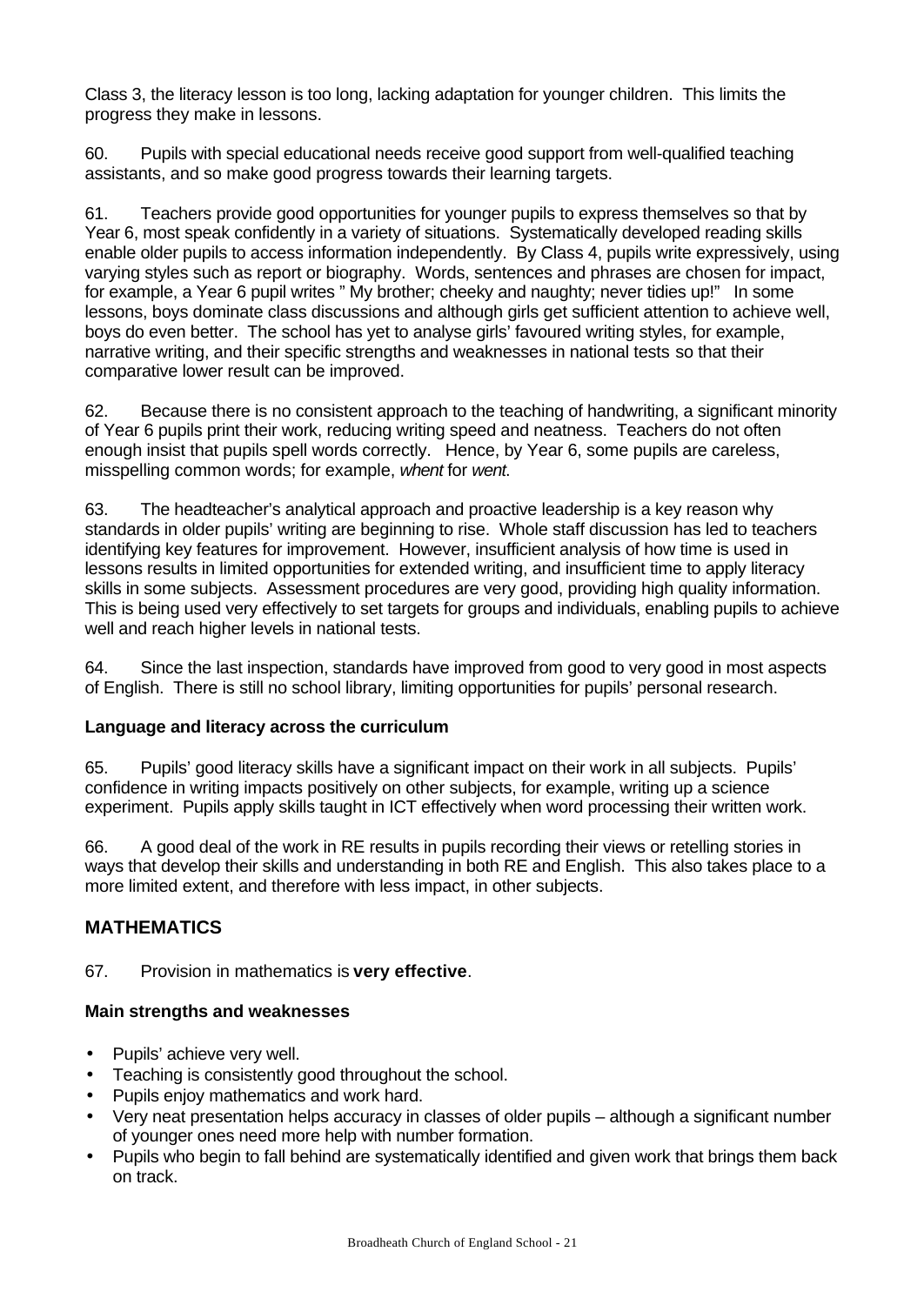Class 3, the literacy lesson is too long, lacking adaptation for younger children. This limits the progress they make in lessons.

60. Pupils with special educational needs receive good support from well-qualified teaching assistants, and so make good progress towards their learning targets.

61. Teachers provide good opportunities for younger pupils to express themselves so that by Year 6, most speak confidently in a variety of situations. Systematically developed reading skills enable older pupils to access information independently. By Class 4, pupils write expressively, using varying styles such as report or biography. Words, sentences and phrases are chosen for impact, for example, a Year 6 pupil writes " My brother; cheeky and naughty; never tidies up!" In some lessons, boys dominate class discussions and although girls get sufficient attention to achieve well, boys do even better. The school has yet to analyse girls' favoured writing styles, for example, narrative writing, and their specific strengths and weaknesses in national tests so that their comparative lower result can be improved.

62. Because there is no consistent approach to the teaching of handwriting, a significant minority of Year 6 pupils print their work, reducing writing speed and neatness. Teachers do not often enough insist that pupils spell words correctly. Hence, by Year 6, some pupils are careless, misspelling common words; for example, *whent* for *went*.

63. The headteacher's analytical approach and proactive leadership is a key reason why standards in older pupils' writing are beginning to rise. Whole staff discussion has led to teachers identifying key features for improvement. However, insufficient analysis of how time is used in lessons results in limited opportunities for extended writing, and insufficient time to apply literacy skills in some subjects. Assessment procedures are very good, providing high quality information. This is being used very effectively to set targets for groups and individuals, enabling pupils to achieve well and reach higher levels in national tests.

64. Since the last inspection, standards have improved from good to very good in most aspects of English. There is still no school library, limiting opportunities for pupils' personal research.

#### **Language and literacy across the curriculum**

65. Pupils' good literacy skills have a significant impact on their work in all subjects. Pupils' confidence in writing impacts positively on other subjects, for example, writing up a science experiment. Pupils apply skills taught in ICT effectively when word processing their written work.

66. A good deal of the work in RE results in pupils recording their views or retelling stories in ways that develop their skills and understanding in both RE and English. This also takes place to a more limited extent, and therefore with less impact, in other subjects.

# **MATHEMATICS**

67. Provision in mathematics is **very effective**.

- Pupils' achieve very well.
- Teaching is consistently good throughout the school.
- Pupils enjoy mathematics and work hard.
- Very neat presentation helps accuracy in classes of older pupils although a significant number of younger ones need more help with number formation.
- Pupils who begin to fall behind are systematically identified and given work that brings them back on track.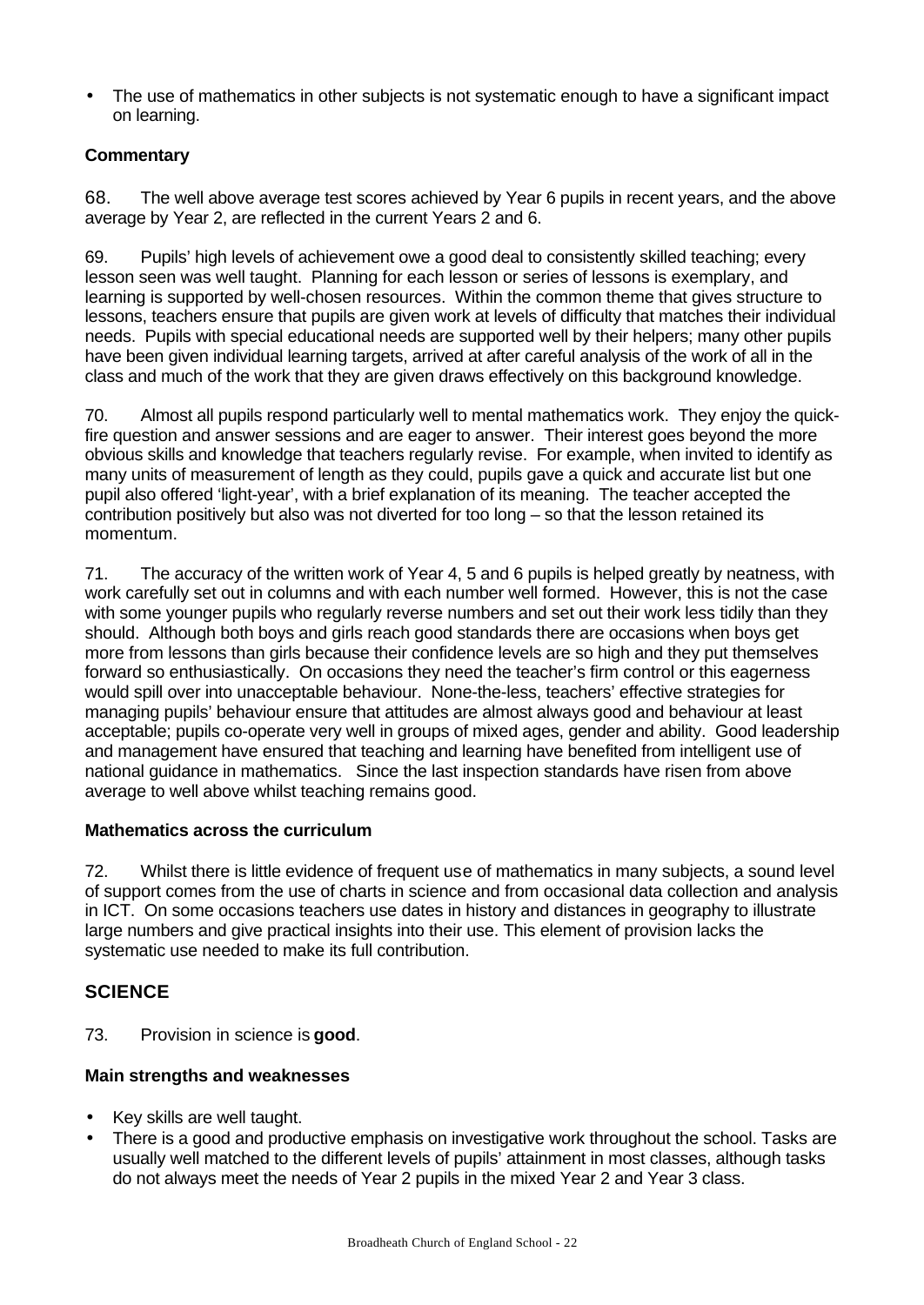• The use of mathematics in other subjects is not systematic enough to have a significant impact on learning.

# **Commentary**

68. The well above average test scores achieved by Year 6 pupils in recent years, and the above average by Year 2, are reflected in the current Years 2 and 6.

69. Pupils' high levels of achievement owe a good deal to consistently skilled teaching; every lesson seen was well taught. Planning for each lesson or series of lessons is exemplary, and learning is supported by well-chosen resources. Within the common theme that gives structure to lessons, teachers ensure that pupils are given work at levels of difficulty that matches their individual needs. Pupils with special educational needs are supported well by their helpers; many other pupils have been given individual learning targets, arrived at after careful analysis of the work of all in the class and much of the work that they are given draws effectively on this background knowledge.

70. Almost all pupils respond particularly well to mental mathematics work. They enjoy the quickfire question and answer sessions and are eager to answer. Their interest goes beyond the more obvious skills and knowledge that teachers regularly revise. For example, when invited to identify as many units of measurement of length as they could, pupils gave a quick and accurate list but one pupil also offered 'light-year', with a brief explanation of its meaning. The teacher accepted the contribution positively but also was not diverted for too long – so that the lesson retained its momentum.

71. The accuracy of the written work of Year 4, 5 and 6 pupils is helped greatly by neatness, with work carefully set out in columns and with each number well formed. However, this is not the case with some younger pupils who regularly reverse numbers and set out their work less tidily than they should. Although both boys and girls reach good standards there are occasions when boys get more from lessons than girls because their confidence levels are so high and they put themselves forward so enthusiastically. On occasions they need the teacher's firm control or this eagerness would spill over into unacceptable behaviour. None-the-less, teachers' effective strategies for managing pupils' behaviour ensure that attitudes are almost always good and behaviour at least acceptable; pupils co-operate very well in groups of mixed ages, gender and ability. Good leadership and management have ensured that teaching and learning have benefited from intelligent use of national guidance in mathematics. Since the last inspection standards have risen from above average to well above whilst teaching remains good.

# **Mathematics across the curriculum**

72. Whilst there is little evidence of frequent use of mathematics in many subjects, a sound level of support comes from the use of charts in science and from occasional data collection and analysis in ICT. On some occasions teachers use dates in history and distances in geography to illustrate large numbers and give practical insights into their use. This element of provision lacks the systematic use needed to make its full contribution.

# **SCIENCE**

73. Provision in science is **good**.

- Key skills are well taught.
- There is a good and productive emphasis on investigative work throughout the school. Tasks are usually well matched to the different levels of pupils' attainment in most classes, although tasks do not always meet the needs of Year 2 pupils in the mixed Year 2 and Year 3 class.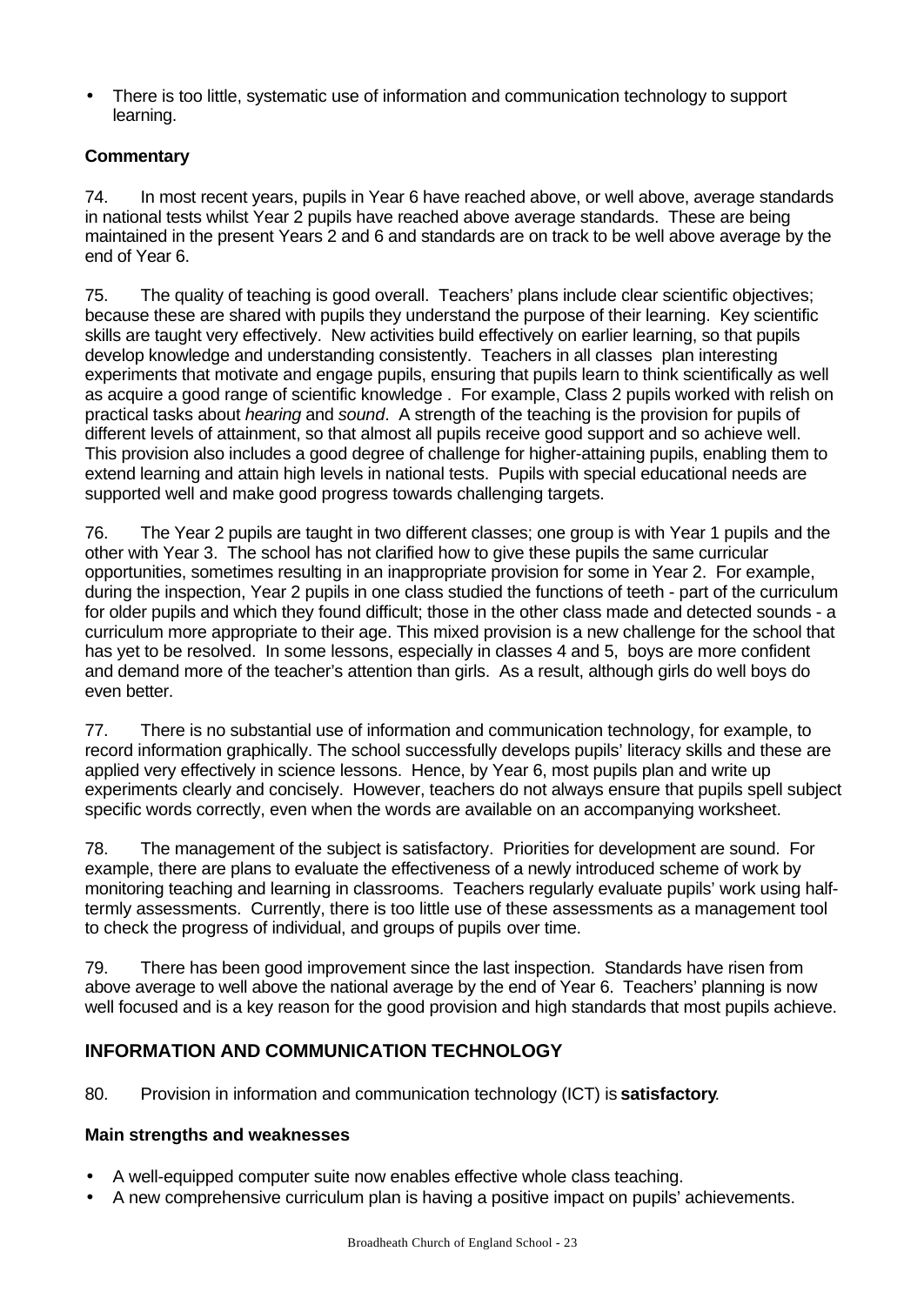• There is too little, systematic use of information and communication technology to support learning.

# **Commentary**

74. In most recent years, pupils in Year 6 have reached above, or well above, average standards in national tests whilst Year 2 pupils have reached above average standards. These are being maintained in the present Years 2 and 6 and standards are on track to be well above average by the end of Year 6.

75. The quality of teaching is good overall. Teachers' plans include clear scientific objectives; because these are shared with pupils they understand the purpose of their learning. Key scientific skills are taught very effectively. New activities build effectively on earlier learning, so that pupils develop knowledge and understanding consistently. Teachers in all classes plan interesting experiments that motivate and engage pupils, ensuring that pupils learn to think scientifically as well as acquire a good range of scientific knowledge . For example, Class 2 pupils worked with relish on practical tasks about *hearing* and *sound*. A strength of the teaching is the provision for pupils of different levels of attainment, so that almost all pupils receive good support and so achieve well. This provision also includes a good degree of challenge for higher-attaining pupils, enabling them to extend learning and attain high levels in national tests. Pupils with special educational needs are supported well and make good progress towards challenging targets.

76. The Year 2 pupils are taught in two different classes; one group is with Year 1 pupils and the other with Year 3. The school has not clarified how to give these pupils the same curricular opportunities, sometimes resulting in an inappropriate provision for some in Year 2. For example, during the inspection, Year 2 pupils in one class studied the functions of teeth - part of the curriculum for older pupils and which they found difficult; those in the other class made and detected sounds - a curriculum more appropriate to their age. This mixed provision is a new challenge for the school that has yet to be resolved. In some lessons, especially in classes 4 and 5, boys are more confident and demand more of the teacher's attention than girls. As a result, although girls do well boys do even better.

77. There is no substantial use of information and communication technology, for example, to record information graphically. The school successfully develops pupils' literacy skills and these are applied very effectively in science lessons. Hence, by Year 6, most pupils plan and write up experiments clearly and concisely. However, teachers do not always ensure that pupils spell subject specific words correctly, even when the words are available on an accompanying worksheet.

78. The management of the subject is satisfactory. Priorities for development are sound. For example, there are plans to evaluate the effectiveness of a newly introduced scheme of work by monitoring teaching and learning in classrooms. Teachers regularly evaluate pupils' work using halftermly assessments. Currently, there is too little use of these assessments as a management tool to check the progress of individual, and groups of pupils over time.

79. There has been good improvement since the last inspection. Standards have risen from above average to well above the national average by the end of Year 6. Teachers' planning is now well focused and is a key reason for the good provision and high standards that most pupils achieve.

# **INFORMATION AND COMMUNICATION TECHNOLOGY**

80. Provision in information and communication technology (ICT) is **satisfactory**.

- A well-equipped computer suite now enables effective whole class teaching.
- A new comprehensive curriculum plan is having a positive impact on pupils' achievements.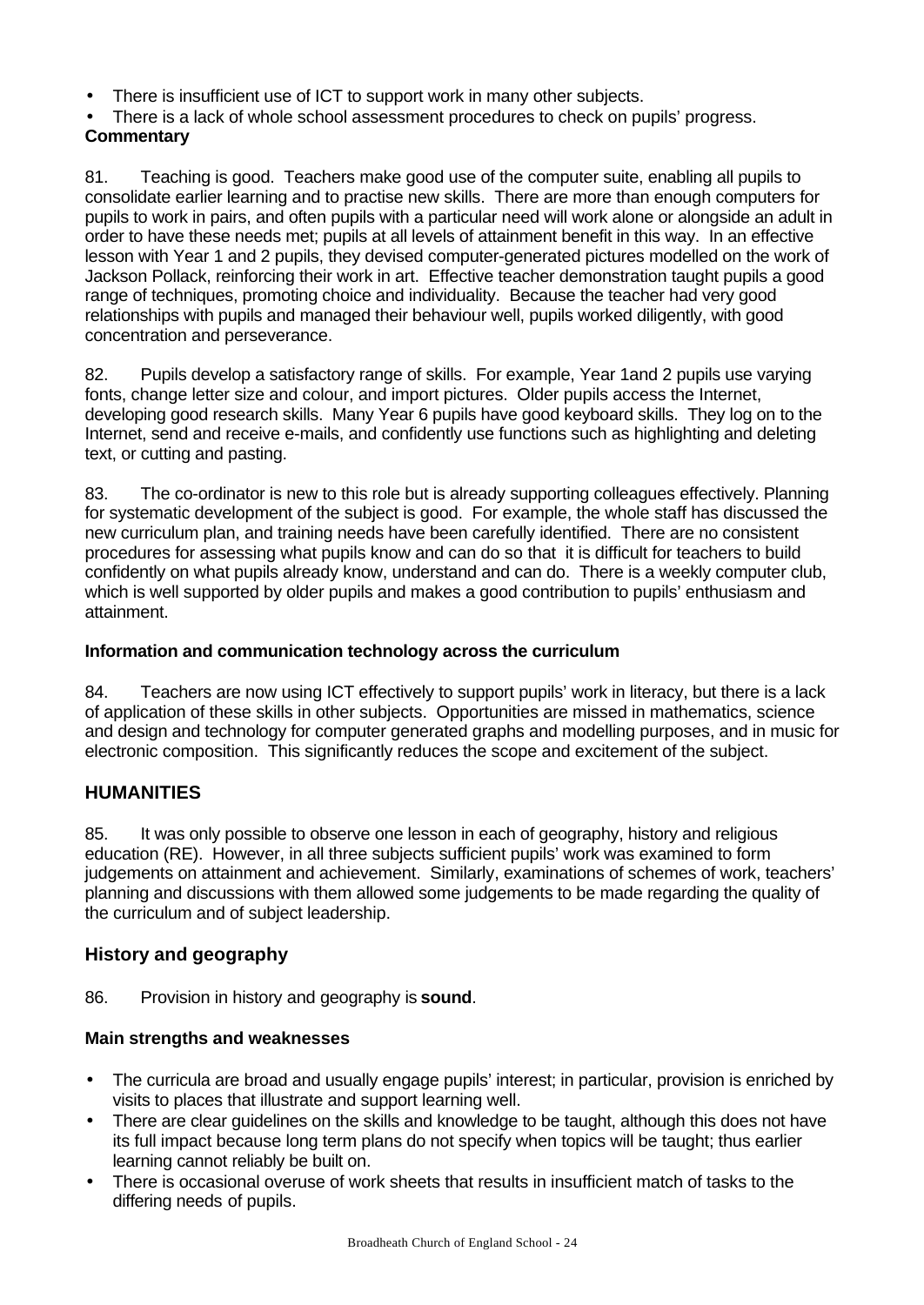- There is insufficient use of ICT to support work in many other subjects.
- There is a lack of whole school assessment procedures to check on pupils' progress. **Commentary**

81. Teaching is good. Teachers make good use of the computer suite, enabling all pupils to consolidate earlier learning and to practise new skills. There are more than enough computers for pupils to work in pairs, and often pupils with a particular need will work alone or alongside an adult in order to have these needs met; pupils at all levels of attainment benefit in this way. In an effective lesson with Year 1 and 2 pupils, they devised computer-generated pictures modelled on the work of Jackson Pollack, reinforcing their work in art. Effective teacher demonstration taught pupils a good range of techniques, promoting choice and individuality. Because the teacher had very good relationships with pupils and managed their behaviour well, pupils worked diligently, with good concentration and perseverance.

82. Pupils develop a satisfactory range of skills. For example, Year 1and 2 pupils use varying fonts, change letter size and colour, and import pictures. Older pupils access the Internet, developing good research skills. Many Year 6 pupils have good keyboard skills. They log on to the Internet, send and receive e-mails, and confidently use functions such as highlighting and deleting text, or cutting and pasting.

83. The co-ordinator is new to this role but is already supporting colleagues effectively. Planning for systematic development of the subject is good. For example, the whole staff has discussed the new curriculum plan, and training needs have been carefully identified. There are no consistent procedures for assessing what pupils know and can do so that it is difficult for teachers to build confidently on what pupils already know, understand and can do. There is a weekly computer club, which is well supported by older pupils and makes a good contribution to pupils' enthusiasm and attainment.

### **Information and communication technology across the curriculum**

84. Teachers are now using ICT effectively to support pupils' work in literacy, but there is a lack of application of these skills in other subjects. Opportunities are missed in mathematics, science and design and technology for computer generated graphs and modelling purposes, and in music for electronic composition. This significantly reduces the scope and excitement of the subject.

# **HUMANITIES**

85. It was only possible to observe one lesson in each of geography, history and religious education (RE). However, in all three subjects sufficient pupils' work was examined to form judgements on attainment and achievement. Similarly, examinations of schemes of work, teachers' planning and discussions with them allowed some judgements to be made regarding the quality of the curriculum and of subject leadership.

# **History and geography**

86. Provision in history and geography is **sound**.

- The curricula are broad and usually engage pupils' interest; in particular, provision is enriched by visits to places that illustrate and support learning well.
- There are clear guidelines on the skills and knowledge to be taught, although this does not have its full impact because long term plans do not specify when topics will be taught; thus earlier learning cannot reliably be built on.
- There is occasional overuse of work sheets that results in insufficient match of tasks to the differing needs of pupils.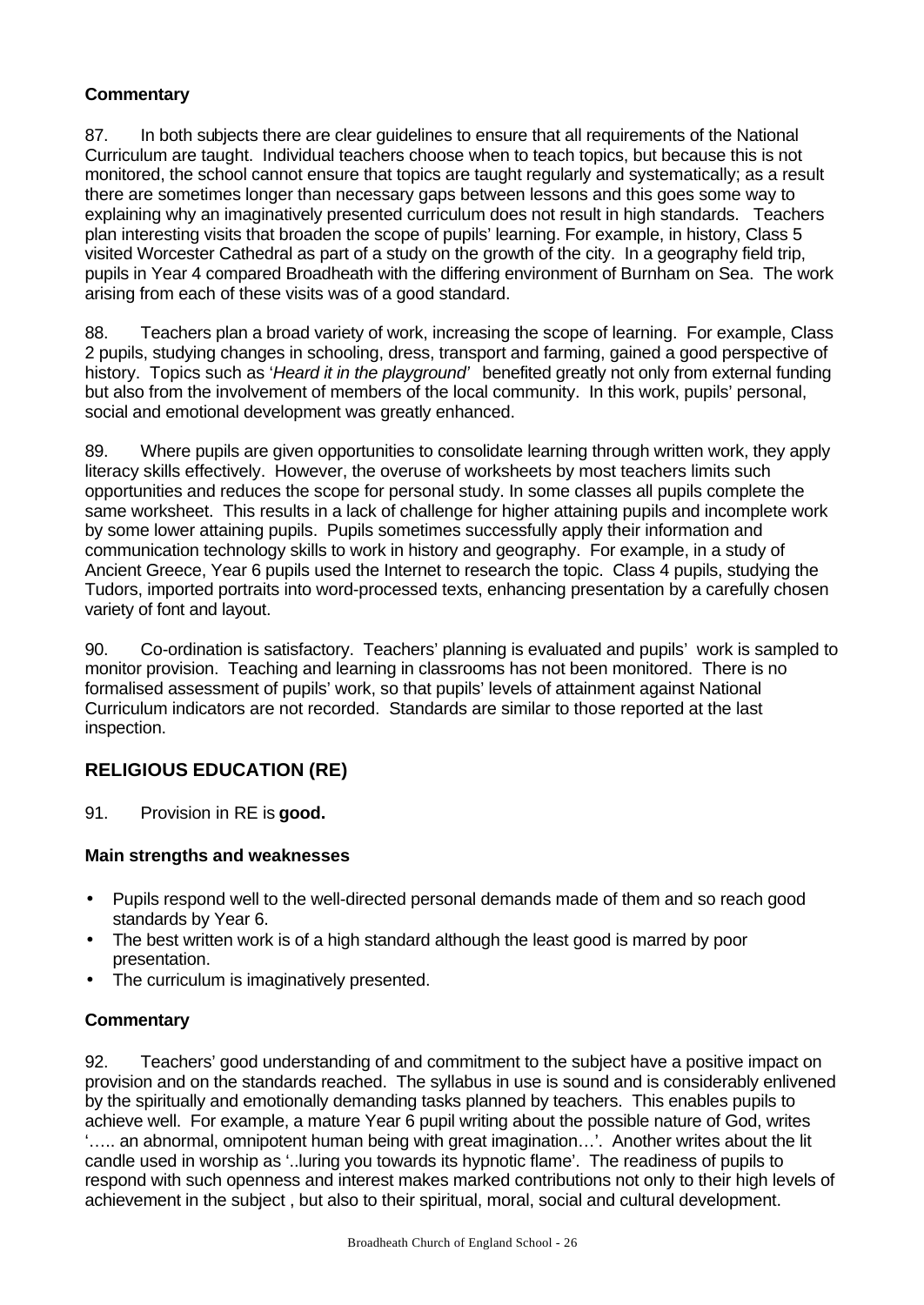# **Commentary**

87. In both subjects there are clear guidelines to ensure that all requirements of the National Curriculum are taught. Individual teachers choose when to teach topics, but because this is not monitored, the school cannot ensure that topics are taught regularly and systematically; as a result there are sometimes longer than necessary gaps between lessons and this goes some way to explaining why an imaginatively presented curriculum does not result in high standards. Teachers plan interesting visits that broaden the scope of pupils' learning. For example, in history, Class 5 visited Worcester Cathedral as part of a study on the growth of the city. In a geography field trip, pupils in Year 4 compared Broadheath with the differing environment of Burnham on Sea. The work arising from each of these visits was of a good standard.

88. Teachers plan a broad variety of work, increasing the scope of learning. For example, Class 2 pupils, studying changes in schooling, dress, transport and farming, gained a good perspective of history. Topics such as '*Heard it in the playground'* benefited greatly not only from external funding but also from the involvement of members of the local community. In this work, pupils' personal, social and emotional development was greatly enhanced.

89. Where pupils are given opportunities to consolidate learning through written work, they apply literacy skills effectively. However, the overuse of worksheets by most teachers limits such opportunities and reduces the scope for personal study. In some classes all pupils complete the same worksheet. This results in a lack of challenge for higher attaining pupils and incomplete work by some lower attaining pupils. Pupils sometimes successfully apply their information and communication technology skills to work in history and geography. For example, in a study of Ancient Greece, Year 6 pupils used the Internet to research the topic. Class 4 pupils, studying the Tudors, imported portraits into word-processed texts, enhancing presentation by a carefully chosen variety of font and layout.

90. Co-ordination is satisfactory. Teachers' planning is evaluated and pupils' work is sampled to monitor provision. Teaching and learning in classrooms has not been monitored. There is no formalised assessment of pupils' work, so that pupils' levels of attainment against National Curriculum indicators are not recorded. Standards are similar to those reported at the last inspection.

# **RELIGIOUS EDUCATION (RE)**

91. Provision in RE is **good.**

# **Main strengths and weaknesses**

- Pupils respond well to the well-directed personal demands made of them and so reach good standards by Year 6.
- The best written work is of a high standard although the least good is marred by poor presentation.
- The curriculum is imaginatively presented.

# **Commentary**

92. Teachers' good understanding of and commitment to the subject have a positive impact on provision and on the standards reached. The syllabus in use is sound and is considerably enlivened by the spiritually and emotionally demanding tasks planned by teachers. This enables pupils to achieve well. For example, a mature Year 6 pupil writing about the possible nature of God, writes '….. an abnormal, omnipotent human being with great imagination…'. Another writes about the lit candle used in worship as '..luring you towards its hypnotic flame'. The readiness of pupils to respond with such openness and interest makes marked contributions not only to their high levels of achievement in the subject , but also to their spiritual, moral, social and cultural development.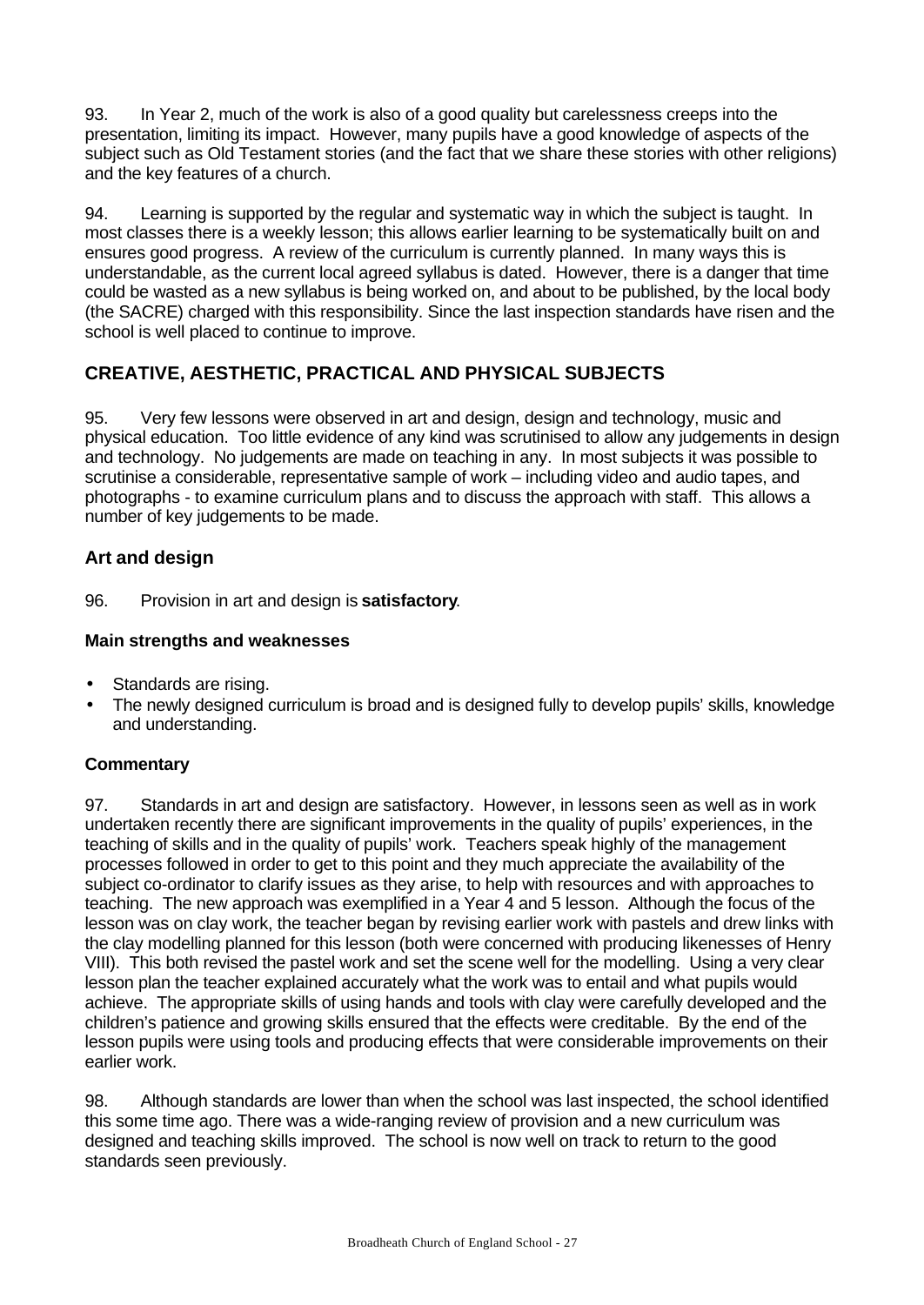93. In Year 2, much of the work is also of a good quality but carelessness creeps into the presentation, limiting its impact. However, many pupils have a good knowledge of aspects of the subject such as Old Testament stories (and the fact that we share these stories with other religions) and the key features of a church.

94. Learning is supported by the regular and systematic way in which the subject is taught. In most classes there is a weekly lesson; this allows earlier learning to be systematically built on and ensures good progress. A review of the curriculum is currently planned. In many ways this is understandable, as the current local agreed syllabus is dated. However, there is a danger that time could be wasted as a new syllabus is being worked on, and about to be published, by the local body (the SACRE) charged with this responsibility. Since the last inspection standards have risen and the school is well placed to continue to improve.

# **CREATIVE, AESTHETIC, PRACTICAL AND PHYSICAL SUBJECTS**

95. Very few lessons were observed in art and design, design and technology, music and physical education. Too little evidence of any kind was scrutinised to allow any judgements in design and technology. No judgements are made on teaching in any. In most subjects it was possible to scrutinise a considerable, representative sample of work – including video and audio tapes, and photographs - to examine curriculum plans and to discuss the approach with staff. This allows a number of key judgements to be made.

# **Art and design**

96. Provision in art and design is **satisfactory**.

### **Main strengths and weaknesses**

- Standards are rising.
- The newly designed curriculum is broad and is designed fully to develop pupils' skills, knowledge and understanding.

# **Commentary**

97. Standards in art and design are satisfactory. However, in lessons seen as well as in work undertaken recently there are significant improvements in the quality of pupils' experiences, in the teaching of skills and in the quality of pupils' work. Teachers speak highly of the management processes followed in order to get to this point and they much appreciate the availability of the subject co-ordinator to clarify issues as they arise, to help with resources and with approaches to teaching. The new approach was exemplified in a Year 4 and 5 lesson. Although the focus of the lesson was on clay work, the teacher began by revising earlier work with pastels and drew links with the clay modelling planned for this lesson (both were concerned with producing likenesses of Henry VIII). This both revised the pastel work and set the scene well for the modelling. Using a very clear lesson plan the teacher explained accurately what the work was to entail and what pupils would achieve. The appropriate skills of using hands and tools with clay were carefully developed and the children's patience and growing skills ensured that the effects were creditable. By the end of the lesson pupils were using tools and producing effects that were considerable improvements on their earlier work.

98. Although standards are lower than when the school was last inspected, the school identified this some time ago. There was a wide-ranging review of provision and a new curriculum was designed and teaching skills improved. The school is now well on track to return to the good standards seen previously.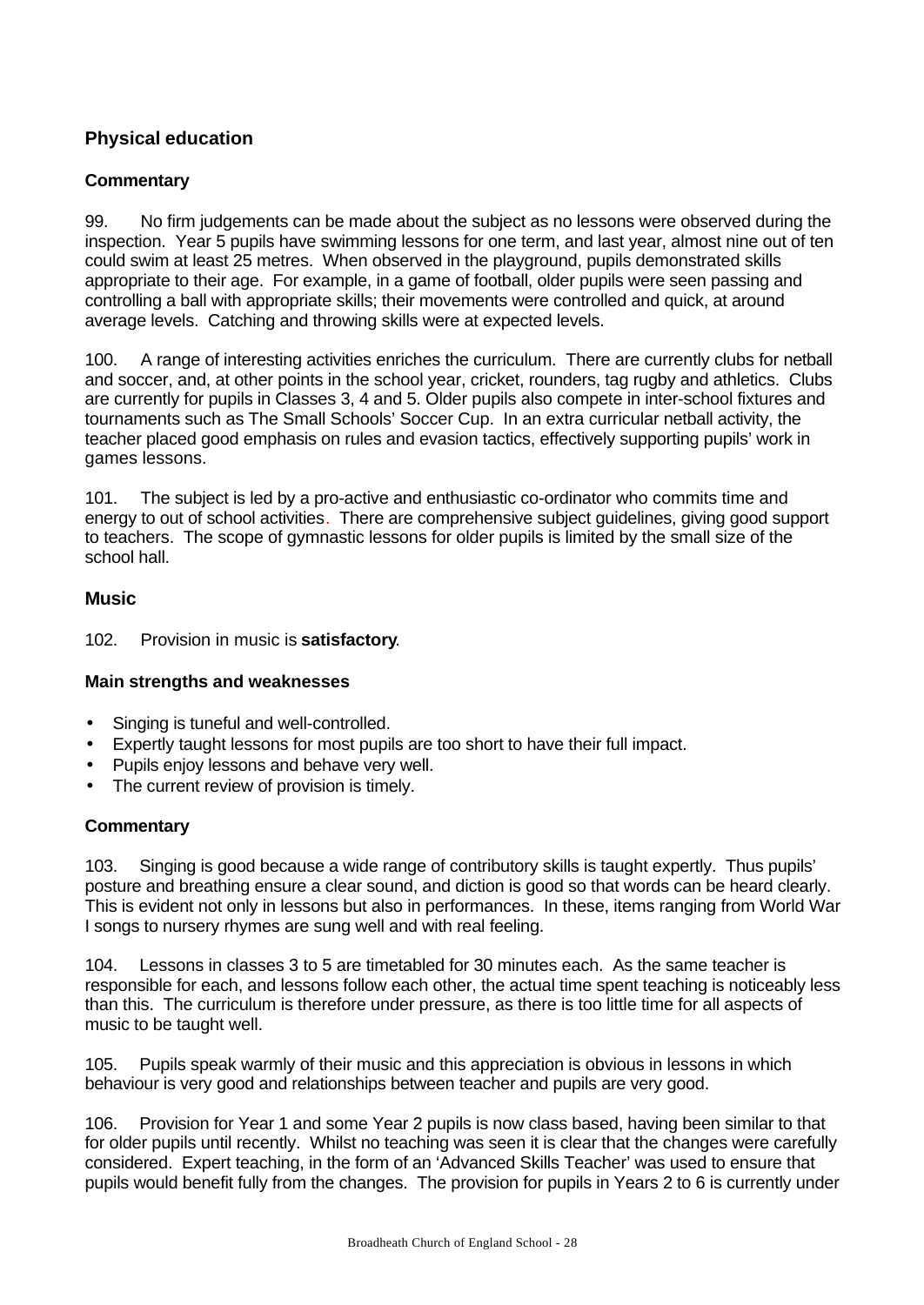# **Physical education**

### **Commentary**

99. No firm judgements can be made about the subject as no lessons were observed during the inspection. Year 5 pupils have swimming lessons for one term, and last year, almost nine out of ten could swim at least 25 metres. When observed in the playground, pupils demonstrated skills appropriate to their age. For example, in a game of football, older pupils were seen passing and controlling a ball with appropriate skills; their movements were controlled and quick, at around average levels. Catching and throwing skills were at expected levels.

100. A range of interesting activities enriches the curriculum. There are currently clubs for netball and soccer, and, at other points in the school year, cricket, rounders, tag rugby and athletics. Clubs are currently for pupils in Classes 3, 4 and 5. Older pupils also compete in inter-school fixtures and tournaments such as The Small Schools' Soccer Cup. In an extra curricular netball activity, the teacher placed good emphasis on rules and evasion tactics, effectively supporting pupils' work in games lessons.

101. The subject is led by a pro-active and enthusiastic co-ordinator who commits time and energy to out of school activities. There are comprehensive subject guidelines, giving good support to teachers. The scope of gymnastic lessons for older pupils is limited by the small size of the school hall.

### **Music**

102. Provision in music is **satisfactory**.

# **Main strengths and weaknesses**

- Singing is tuneful and well-controlled.
- Expertly taught lessons for most pupils are too short to have their full impact.
- Pupils enjoy lessons and behave very well.
- The current review of provision is timely.

#### **Commentary**

103. Singing is good because a wide range of contributory skills is taught expertly. Thus pupils' posture and breathing ensure a clear sound, and diction is good so that words can be heard clearly. This is evident not only in lessons but also in performances. In these, items ranging from World War I songs to nursery rhymes are sung well and with real feeling.

104. Lessons in classes 3 to 5 are timetabled for 30 minutes each. As the same teacher is responsible for each, and lessons follow each other, the actual time spent teaching is noticeably less than this. The curriculum is therefore under pressure, as there is too little time for all aspects of music to be taught well.

105. Pupils speak warmly of their music and this appreciation is obvious in lessons in which behaviour is very good and relationships between teacher and pupils are very good.

106. Provision for Year 1 and some Year 2 pupils is now class based, having been similar to that for older pupils until recently. Whilst no teaching was seen it is clear that the changes were carefully considered. Expert teaching, in the form of an 'Advanced Skills Teacher' was used to ensure that pupils would benefit fully from the changes. The provision for pupils in Years 2 to 6 is currently under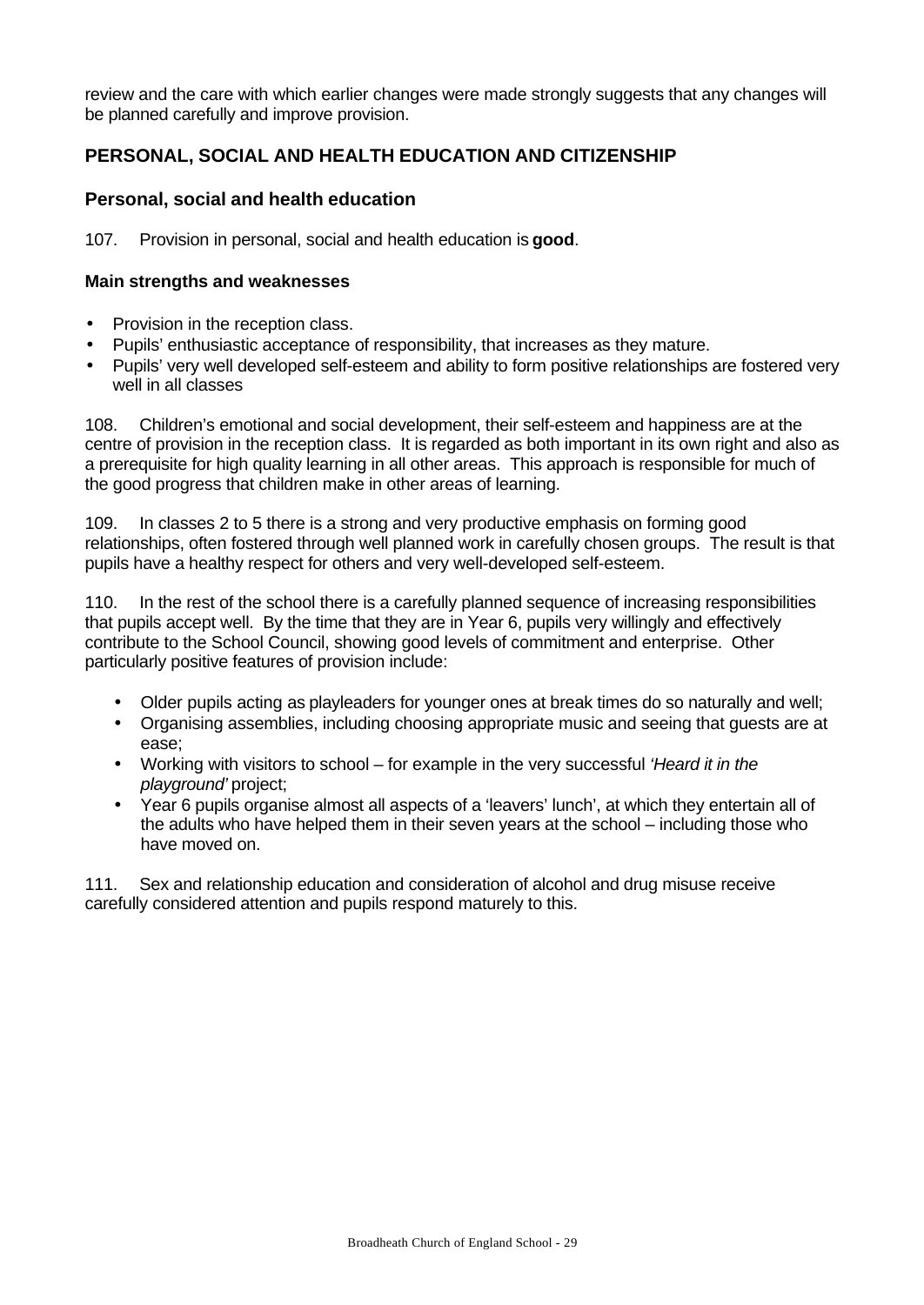review and the care with which earlier changes were made strongly suggests that any changes will be planned carefully and improve provision.

# **PERSONAL, SOCIAL AND HEALTH EDUCATION AND CITIZENSHIP**

# **Personal, social and health education**

107. Provision in personal, social and health education is **good**.

#### **Main strengths and weaknesses**

- Provision in the reception class.
- Pupils' enthusiastic acceptance of responsibility, that increases as they mature.
- Pupils' very well developed self-esteem and ability to form positive relationships are fostered very well in all classes

108. Children's emotional and social development, their self-esteem and happiness are at the centre of provision in the reception class. It is regarded as both important in its own right and also as a prerequisite for high quality learning in all other areas. This approach is responsible for much of the good progress that children make in other areas of learning.

109. In classes 2 to 5 there is a strong and very productive emphasis on forming good relationships, often fostered through well planned work in carefully chosen groups. The result is that pupils have a healthy respect for others and very well-developed self-esteem.

110. In the rest of the school there is a carefully planned sequence of increasing responsibilities that pupils accept well. By the time that they are in Year 6, pupils very willingly and effectively contribute to the School Council, showing good levels of commitment and enterprise. Other particularly positive features of provision include:

- Older pupils acting as playleaders for younger ones at break times do so naturally and well;
- Organising assemblies, including choosing appropriate music and seeing that guests are at ease;
- Working with visitors to school for example in the very successful *'Heard it in the playground'* project;
- Year 6 pupils organise almost all aspects of a 'leavers' lunch', at which they entertain all of the adults who have helped them in their seven years at the school – including those who have moved on.

111. Sex and relationship education and consideration of alcohol and drug misuse receive carefully considered attention and pupils respond maturely to this.